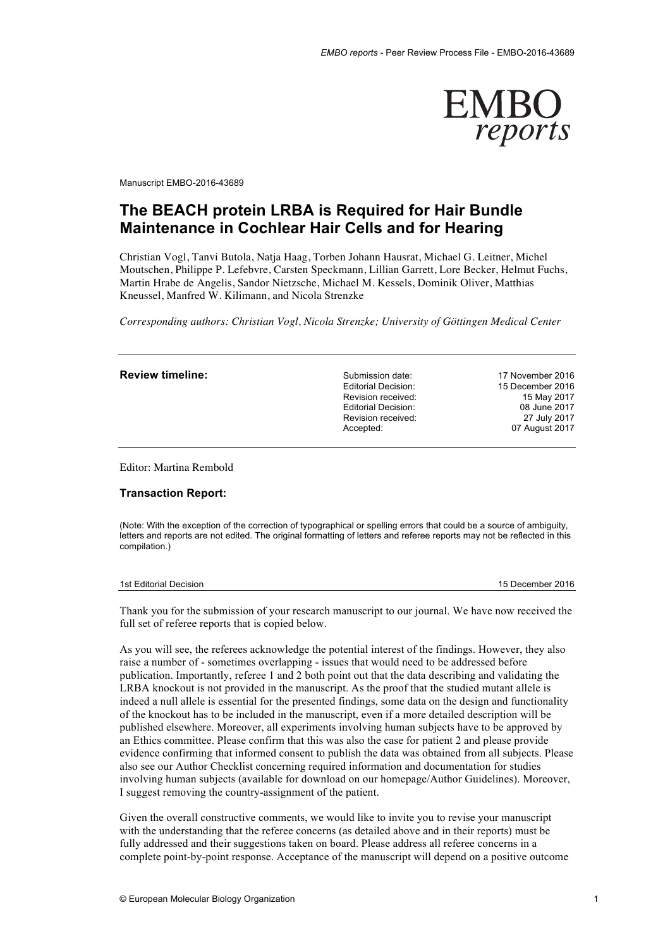

Manuscript EMBO-2016-43689

# **The BEACH protein LRBA is Required for Hair Bundle Maintenance in Cochlear Hair Cells and for Hearing**

Christian Vogl, Tanvi Butola, Natja Haag, Torben Johann Hausrat, Michael G. Leitner, Michel Moutschen, Philippe P. Lefebvre, Carsten Speckmann, Lillian Garrett, Lore Becker, Helmut Fuchs, Martin Hrabe de Angelis, Sandor Nietzsche, Michael M. Kessels, Dominik Oliver, Matthias Kneussel, Manfred W. Kilimann, and Nicola Strenzke

*Corresponding authors: Christian Vogl, Nicola Strenzke; University of Göttingen Medical Center*

| Submission date:    | 17 November 2016 |
|---------------------|------------------|
| Editorial Decision: | 15 December 2016 |
| Revision received:  | 15 May 2017      |
| Editorial Decision: | 08 June 2017     |
| Revision received:  | 27 July 2017     |
| Accepted:           | 07 August 2017   |
|                     |                  |
|                     |                  |

Editor: Martina Rembold

# **Transaction Report:**

(Note: With the exception of the correction of typographical or spelling errors that could be a source of ambiguity, letters and reports are not edited. The original formatting of letters and referee reports may not be reflected in this compilation.)

1st Editorial Decision 15 December 2016

Thank you for the submission of your research manuscript to our journal. We have now received the full set of referee reports that is copied below.

As you will see, the referees acknowledge the potential interest of the findings. However, they also raise a number of - sometimes overlapping - issues that would need to be addressed before publication. Importantly, referee 1 and 2 both point out that the data describing and validating the LRBA knockout is not provided in the manuscript. As the proof that the studied mutant allele is indeed a null allele is essential for the presented findings, some data on the design and functionality of the knockout has to be included in the manuscript, even if a more detailed description will be published elsewhere. Moreover, all experiments involving human subjects have to be approved by an Ethics committee. Please confirm that this was also the case for patient 2 and please provide evidence confirming that informed consent to publish the data was obtained from all subjects. Please also see our Author Checklist concerning required information and documentation for studies involving human subjects (available for download on our homepage/Author Guidelines). Moreover, I suggest removing the country-assignment of the patient.

Given the overall constructive comments, we would like to invite you to revise your manuscript with the understanding that the referee concerns (as detailed above and in their reports) must be fully addressed and their suggestions taken on board. Please address all referee concerns in a complete point-by-point response. Acceptance of the manuscript will depend on a positive outcome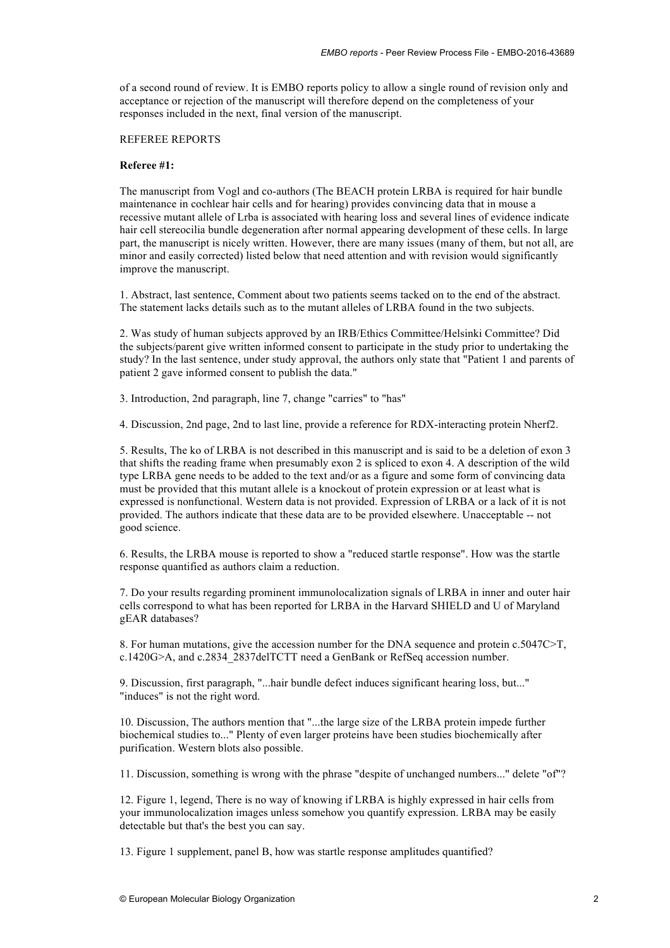of a second round of review. It is EMBO reports policy to allow a single round of revision only and acceptance or rejection of the manuscript will therefore depend on the completeness of your responses included in the next, final version of the manuscript.

# REFEREE REPORTS

# **Referee #1:**

The manuscript from Vogl and co-authors (The BEACH protein LRBA is required for hair bundle maintenance in cochlear hair cells and for hearing) provides convincing data that in mouse a recessive mutant allele of Lrba is associated with hearing loss and several lines of evidence indicate hair cell stereocilia bundle degeneration after normal appearing development of these cells. In large part, the manuscript is nicely written. However, there are many issues (many of them, but not all, are minor and easily corrected) listed below that need attention and with revision would significantly improve the manuscript.

1. Abstract, last sentence, Comment about two patients seems tacked on to the end of the abstract. The statement lacks details such as to the mutant alleles of LRBA found in the two subjects.

2. Was study of human subjects approved by an IRB/Ethics Committee/Helsinki Committee? Did the subjects/parent give written informed consent to participate in the study prior to undertaking the study? In the last sentence, under study approval, the authors only state that "Patient 1 and parents of patient 2 gave informed consent to publish the data."

3. Introduction, 2nd paragraph, line 7, change "carries" to "has"

4. Discussion, 2nd page, 2nd to last line, provide a reference for RDX-interacting protein Nherf2.

5. Results, The ko of LRBA is not described in this manuscript and is said to be a deletion of exon 3 that shifts the reading frame when presumably exon 2 is spliced to exon 4. A description of the wild type LRBA gene needs to be added to the text and/or as a figure and some form of convincing data must be provided that this mutant allele is a knockout of protein expression or at least what is expressed is nonfunctional. Western data is not provided. Expression of LRBA or a lack of it is not provided. The authors indicate that these data are to be provided elsewhere. Unacceptable -- not good science.

6. Results, the LRBA mouse is reported to show a "reduced startle response". How was the startle response quantified as authors claim a reduction.

7. Do your results regarding prominent immunolocalization signals of LRBA in inner and outer hair cells correspond to what has been reported for LRBA in the Harvard SHIELD and U of Maryland gEAR databases?

8. For human mutations, give the accession number for the DNA sequence and protein c.5047C>T, c.1420G>A, and c.2834\_2837delTCTT need a GenBank or RefSeq accession number.

9. Discussion, first paragraph, "...hair bundle defect induces significant hearing loss, but..." "induces" is not the right word.

10. Discussion, The authors mention that "...the large size of the LRBA protein impede further biochemical studies to..." Plenty of even larger proteins have been studies biochemically after purification. Western blots also possible.

11. Discussion, something is wrong with the phrase "despite of unchanged numbers..." delete "of"?

12. Figure 1, legend, There is no way of knowing if LRBA is highly expressed in hair cells from your immunolocalization images unless somehow you quantify expression. LRBA may be easily detectable but that's the best you can say.

13. Figure 1 supplement, panel B, how was startle response amplitudes quantified?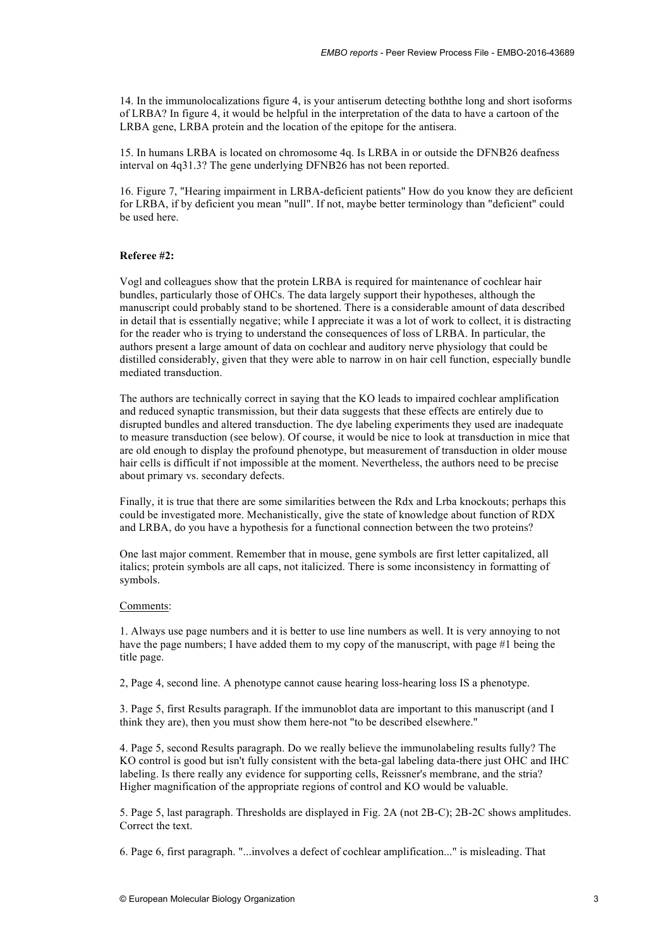14. In the immunolocalizations figure 4, is your antiserum detecting boththe long and short isoforms of LRBA? In figure 4, it would be helpful in the interpretation of the data to have a cartoon of the LRBA gene, LRBA protein and the location of the epitope for the antisera.

15. In humans LRBA is located on chromosome 4q. Is LRBA in or outside the DFNB26 deafness interval on 4q31.3? The gene underlying DFNB26 has not been reported.

16. Figure 7, "Hearing impairment in LRBA-deficient patients" How do you know they are deficient for LRBA, if by deficient you mean "null". If not, maybe better terminology than "deficient" could be used here.

# **Referee #2:**

Vogl and colleagues show that the protein LRBA is required for maintenance of cochlear hair bundles, particularly those of OHCs. The data largely support their hypotheses, although the manuscript could probably stand to be shortened. There is a considerable amount of data described in detail that is essentially negative; while I appreciate it was a lot of work to collect, it is distracting for the reader who is trying to understand the consequences of loss of LRBA. In particular, the authors present a large amount of data on cochlear and auditory nerve physiology that could be distilled considerably, given that they were able to narrow in on hair cell function, especially bundle mediated transduction.

The authors are technically correct in saying that the KO leads to impaired cochlear amplification and reduced synaptic transmission, but their data suggests that these effects are entirely due to disrupted bundles and altered transduction. The dye labeling experiments they used are inadequate to measure transduction (see below). Of course, it would be nice to look at transduction in mice that are old enough to display the profound phenotype, but measurement of transduction in older mouse hair cells is difficult if not impossible at the moment. Nevertheless, the authors need to be precise about primary vs. secondary defects.

Finally, it is true that there are some similarities between the Rdx and Lrba knockouts; perhaps this could be investigated more. Mechanistically, give the state of knowledge about function of RDX and LRBA, do you have a hypothesis for a functional connection between the two proteins?

One last major comment. Remember that in mouse, gene symbols are first letter capitalized, all italics; protein symbols are all caps, not italicized. There is some inconsistency in formatting of symbols.

# Comments:

1. Always use page numbers and it is better to use line numbers as well. It is very annoying to not have the page numbers; I have added them to my copy of the manuscript, with page #1 being the title page.

2, Page 4, second line. A phenotype cannot cause hearing loss-hearing loss IS a phenotype.

3. Page 5, first Results paragraph. If the immunoblot data are important to this manuscript (and I think they are), then you must show them here-not "to be described elsewhere."

4. Page 5, second Results paragraph. Do we really believe the immunolabeling results fully? The KO control is good but isn't fully consistent with the beta-gal labeling data-there just OHC and IHC labeling. Is there really any evidence for supporting cells, Reissner's membrane, and the stria? Higher magnification of the appropriate regions of control and KO would be valuable.

5. Page 5, last paragraph. Thresholds are displayed in Fig. 2A (not 2B-C); 2B-2C shows amplitudes. Correct the text.

6. Page 6, first paragraph. "...involves a defect of cochlear amplification..." is misleading. That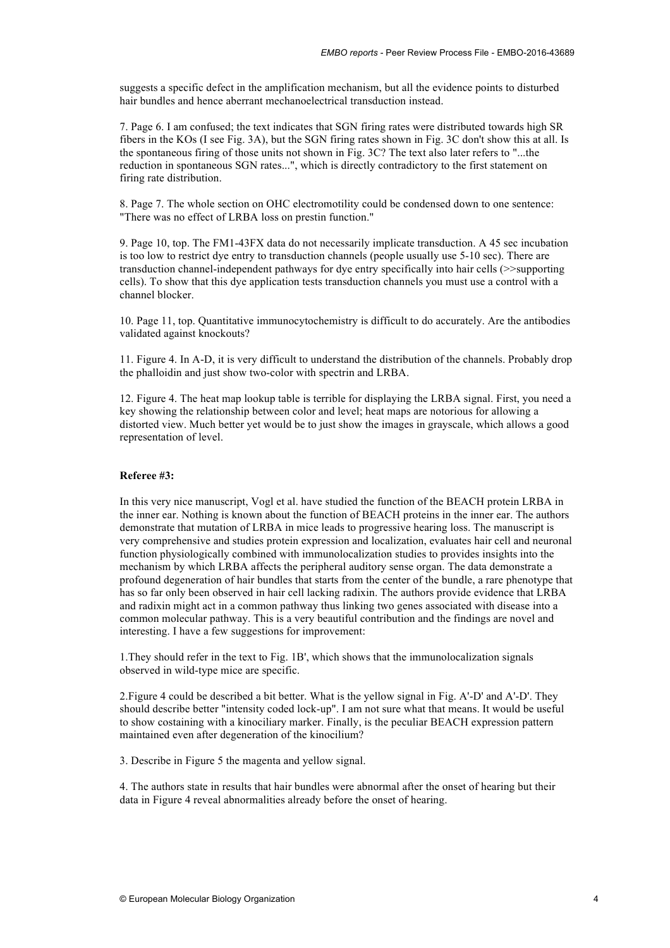suggests a specific defect in the amplification mechanism, but all the evidence points to disturbed hair bundles and hence aberrant mechanoelectrical transduction instead.

7. Page 6. I am confused; the text indicates that SGN firing rates were distributed towards high SR fibers in the KOs (I see Fig. 3A), but the SGN firing rates shown in Fig. 3C don't show this at all. Is the spontaneous firing of those units not shown in Fig. 3C? The text also later refers to "...the reduction in spontaneous SGN rates...", which is directly contradictory to the first statement on firing rate distribution.

8. Page 7. The whole section on OHC electromotility could be condensed down to one sentence: "There was no effect of LRBA loss on prestin function."

9. Page 10, top. The FM1-43FX data do not necessarily implicate transduction. A 45 sec incubation is too low to restrict dye entry to transduction channels (people usually use 5-10 sec). There are transduction channel-independent pathways for dye entry specifically into hair cells (>>supporting cells). To show that this dye application tests transduction channels you must use a control with a channel blocker.

10. Page 11, top. Quantitative immunocytochemistry is difficult to do accurately. Are the antibodies validated against knockouts?

11. Figure 4. In A-D, it is very difficult to understand the distribution of the channels. Probably drop the phalloidin and just show two-color with spectrin and LRBA.

12. Figure 4. The heat map lookup table is terrible for displaying the LRBA signal. First, you need a key showing the relationship between color and level; heat maps are notorious for allowing a distorted view. Much better yet would be to just show the images in grayscale, which allows a good representation of level.

# **Referee #3:**

In this very nice manuscript, Vogl et al. have studied the function of the BEACH protein LRBA in the inner ear. Nothing is known about the function of BEACH proteins in the inner ear. The authors demonstrate that mutation of LRBA in mice leads to progressive hearing loss. The manuscript is very comprehensive and studies protein expression and localization, evaluates hair cell and neuronal function physiologically combined with immunolocalization studies to provides insights into the mechanism by which LRBA affects the peripheral auditory sense organ. The data demonstrate a profound degeneration of hair bundles that starts from the center of the bundle, a rare phenotype that has so far only been observed in hair cell lacking radixin. The authors provide evidence that LRBA and radixin might act in a common pathway thus linking two genes associated with disease into a common molecular pathway. This is a very beautiful contribution and the findings are novel and interesting. I have a few suggestions for improvement:

1.They should refer in the text to Fig. 1B', which shows that the immunolocalization signals observed in wild-type mice are specific.

2.Figure 4 could be described a bit better. What is the yellow signal in Fig. A'-D' and A'-D'. They should describe better "intensity coded lock-up". I am not sure what that means. It would be useful to show costaining with a kinociliary marker. Finally, is the peculiar BEACH expression pattern maintained even after degeneration of the kinocilium?

3. Describe in Figure 5 the magenta and yellow signal.

4. The authors state in results that hair bundles were abnormal after the onset of hearing but their data in Figure 4 reveal abnormalities already before the onset of hearing.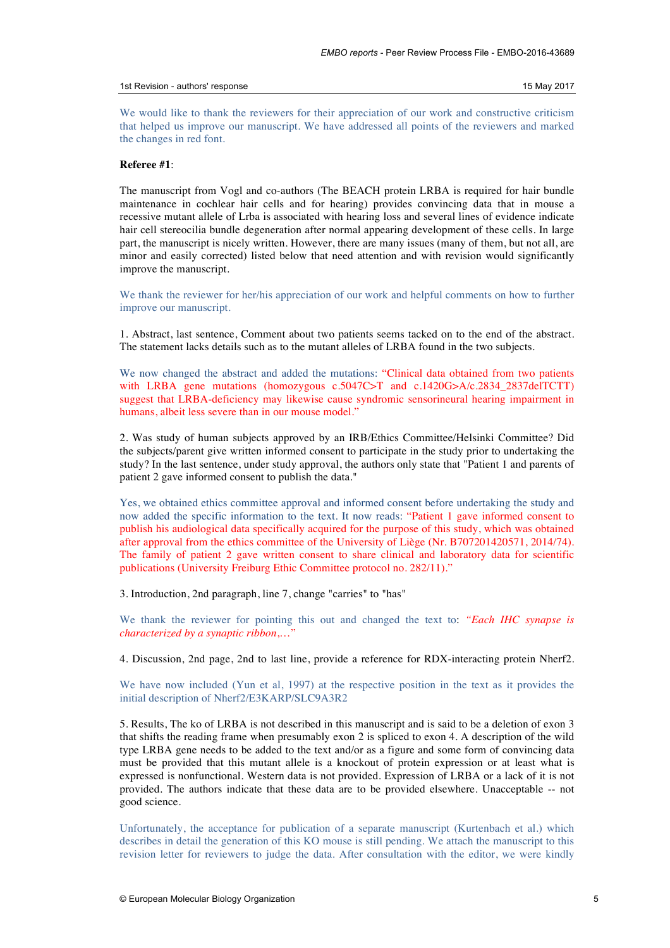# 1st Revision - authors' response 15 May 2017

We would like to thank the reviewers for their appreciation of our work and constructive criticism that helped us improve our manuscript. We have addressed all points of the reviewers and marked the changes in red font.

# **Referee #1**:

The manuscript from Vogl and co-authors (The BEACH protein LRBA is required for hair bundle maintenance in cochlear hair cells and for hearing) provides convincing data that in mouse a recessive mutant allele of Lrba is associated with hearing loss and several lines of evidence indicate hair cell stereocilia bundle degeneration after normal appearing development of these cells. In large part, the manuscript is nicely written. However, there are many issues (many of them, but not all, are minor and easily corrected) listed below that need attention and with revision would significantly improve the manuscript.

We thank the reviewer for her/his appreciation of our work and helpful comments on how to further improve our manuscript.

1. Abstract, last sentence, Comment about two patients seems tacked on to the end of the abstract. The statement lacks details such as to the mutant alleles of LRBA found in the two subjects.

We now changed the abstract and added the mutations: "Clinical data obtained from two patients with LRBA gene mutations (homozygous c.5047C>T and c.1420G>A/c.2834\_2837delTCTT) suggest that LRBA-deficiency may likewise cause syndromic sensorineural hearing impairment in humans, albeit less severe than in our mouse model."

2. Was study of human subjects approved by an IRB/Ethics Committee/Helsinki Committee? Did the subjects/parent give written informed consent to participate in the study prior to undertaking the study? In the last sentence, under study approval, the authors only state that "Patient 1 and parents of patient 2 gave informed consent to publish the data."

Yes, we obtained ethics committee approval and informed consent before undertaking the study and now added the specific information to the text. It now reads: "Patient 1 gave informed consent to publish his audiological data specifically acquired for the purpose of this study, which was obtained after approval from the ethics committee of the University of Liège (Nr. B707201420571, 2014/74). The family of patient 2 gave written consent to share clinical and laboratory data for scientific publications (University Freiburg Ethic Committee protocol no. 282/11)."

3. Introduction, 2nd paragraph, line 7, change "carries" to "has"

We thank the reviewer for pointing this out and changed the text to: *"Each IHC synapse is characterized by a synaptic ribbon*,…"

4. Discussion, 2nd page, 2nd to last line, provide a reference for RDX-interacting protein Nherf2.

We have now included (Yun et al, 1997) at the respective position in the text as it provides the initial description of Nherf2/E3KARP/SLC9A3R2

5. Results, The ko of LRBA is not described in this manuscript and is said to be a deletion of exon 3 that shifts the reading frame when presumably exon 2 is spliced to exon 4. A description of the wild type LRBA gene needs to be added to the text and/or as a figure and some form of convincing data must be provided that this mutant allele is a knockout of protein expression or at least what is expressed is nonfunctional. Western data is not provided. Expression of LRBA or a lack of it is not provided. The authors indicate that these data are to be provided elsewhere. Unacceptable -- not good science.

Unfortunately, the acceptance for publication of a separate manuscript (Kurtenbach et al.) which describes in detail the generation of this KO mouse is still pending. We attach the manuscript to this revision letter for reviewers to judge the data. After consultation with the editor, we were kindly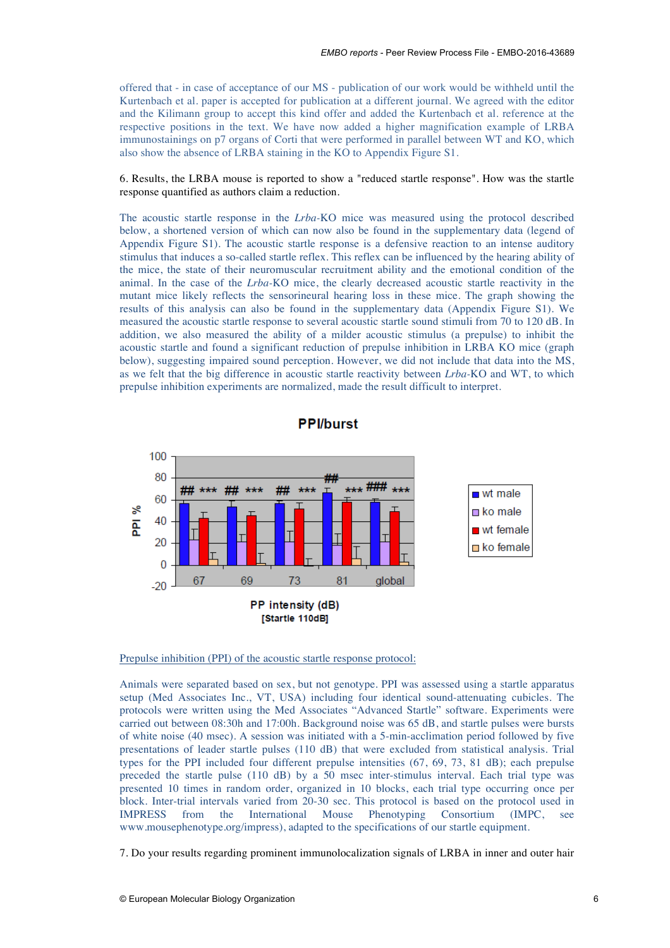offered that - in case of acceptance of our MS - publication of our work would be withheld until the Kurtenbach et al. paper is accepted for publication at a different journal. We agreed with the editor and the Kilimann group to accept this kind offer and added the Kurtenbach et al. reference at the respective positions in the text. We have now added a higher magnification example of LRBA immunostainings on p7 organs of Corti that were performed in parallel between WT and KO, which also show the absence of LRBA staining in the KO to Appendix Figure S1.

6. Results, the LRBA mouse is reported to show a "reduced startle response". How was the startle response quantified as authors claim a reduction.

The acoustic startle response in the *Lrba-*KO mice was measured using the protocol described below, a shortened version of which can now also be found in the supplementary data (legend of Appendix Figure S1). The acoustic startle response is a defensive reaction to an intense auditory stimulus that induces a so-called startle reflex. This reflex can be influenced by the hearing ability of the mice, the state of their neuromuscular recruitment ability and the emotional condition of the animal. In the case of the *Lrba-*KO mice, the clearly decreased acoustic startle reactivity in the mutant mice likely reflects the sensorineural hearing loss in these mice. The graph showing the results of this analysis can also be found in the supplementary data (Appendix Figure S1). We measured the acoustic startle response to several acoustic startle sound stimuli from 70 to 120 dB. In addition, we also measured the ability of a milder acoustic stimulus (a prepulse) to inhibit the acoustic startle and found a significant reduction of prepulse inhibition in LRBA KO mice (graph below), suggesting impaired sound perception. However, we did not include that data into the MS, as we felt that the big difference in acoustic startle reactivity between *Lrba-*KO and WT, to which prepulse inhibition experiments are normalized, made the result difficult to interpret.





Prepulse inhibition (PPI) of the acoustic startle response protocol:

Animals were separated based on sex, but not genotype. PPI was assessed using a startle apparatus setup (Med Associates Inc., VT, USA) including four identical sound-attenuating cubicles. The protocols were written using the Med Associates "Advanced Startle" software. Experiments were carried out between 08:30h and 17:00h. Background noise was 65 dB, and startle pulses were bursts of white noise (40 msec). A session was initiated with a 5-min-acclimation period followed by five presentations of leader startle pulses (110 dB) that were excluded from statistical analysis. Trial types for the PPI included four different prepulse intensities (67, 69, 73, 81 dB); each prepulse preceded the startle pulse (110 dB) by a 50 msec inter-stimulus interval. Each trial type was presented 10 times in random order, organized in 10 blocks, each trial type occurring once per block. Inter-trial intervals varied from 20-30 sec. This protocol is based on the protocol used in IMPRESS from the International Mouse Phenotyping Consortium (IMPC, see www.mousephenotype.org/impress), adapted to the specifications of our startle equipment.

7. Do your results regarding prominent immunolocalization signals of LRBA in inner and outer hair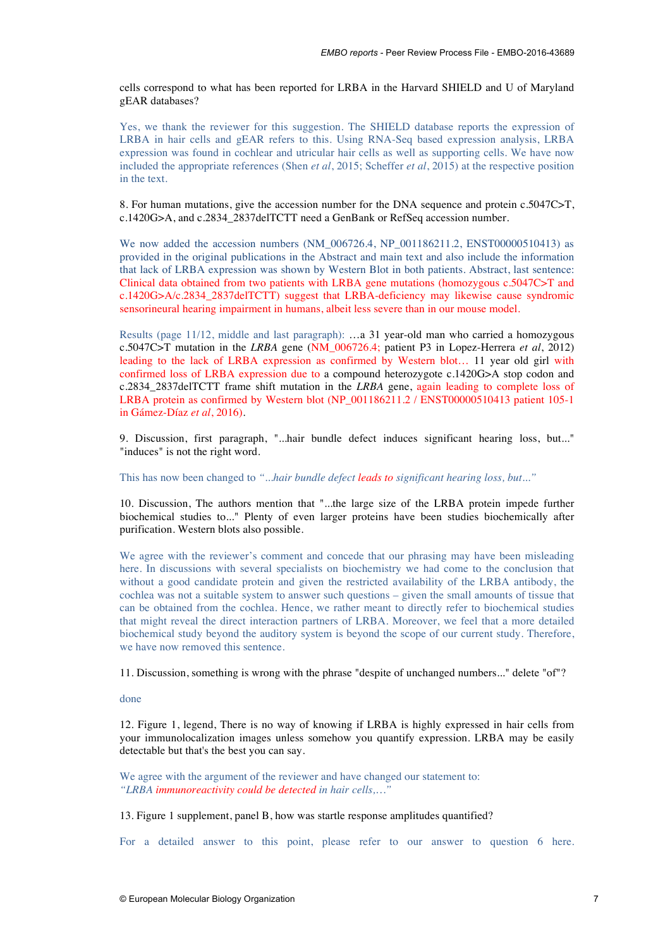cells correspond to what has been reported for LRBA in the Harvard SHIELD and U of Maryland gEAR databases?

Yes, we thank the reviewer for this suggestion. The SHIELD database reports the expression of LRBA in hair cells and gEAR refers to this. Using RNA-Seq based expression analysis, LRBA expression was found in cochlear and utricular hair cells as well as supporting cells. We have now included the appropriate references (Shen *et al*, 2015; Scheffer *et al*, 2015) at the respective position in the text.

8. For human mutations, give the accession number for the DNA sequence and protein c.5047C>T, c.1420G>A, and c.2834\_2837delTCTT need a GenBank or RefSeq accession number.

We now added the accession numbers (NM\_006726.4, NP\_001186211.2, ENST00000510413) as provided in the original publications in the Abstract and main text and also include the information that lack of LRBA expression was shown by Western Blot in both patients. Abstract, last sentence: Clinical data obtained from two patients with LRBA gene mutations (homozygous c.5047C>T and c.1420G>A/c.2834\_2837delTCTT) suggest that LRBA-deficiency may likewise cause syndromic sensorineural hearing impairment in humans, albeit less severe than in our mouse model.

Results (page 11/12, middle and last paragraph): …a 31 year-old man who carried a homozygous c.5047C>T mutation in the *LRBA* gene (NM\_006726.4; patient P3 in Lopez-Herrera *et al*, 2012) leading to the lack of LRBA expression as confirmed by Western blot… 11 year old girl with confirmed loss of LRBA expression due to a compound heterozygote c.1420G>A stop codon and c.2834\_2837delTCTT frame shift mutation in the *LRBA* gene, again leading to complete loss of LRBA protein as confirmed by Western blot (NP\_001186211.2 / ENST00000510413 patient 105-1 in Gámez-Díaz *et al*, 2016).

9. Discussion, first paragraph, "...hair bundle defect induces significant hearing loss, but..." "induces" is not the right word.

This has now been changed to *"...hair bundle defect leads to significant hearing loss, but..."*

10. Discussion, The authors mention that "...the large size of the LRBA protein impede further biochemical studies to..." Plenty of even larger proteins have been studies biochemically after purification. Western blots also possible.

We agree with the reviewer's comment and concede that our phrasing may have been misleading here. In discussions with several specialists on biochemistry we had come to the conclusion that without a good candidate protein and given the restricted availability of the LRBA antibody, the cochlea was not a suitable system to answer such questions – given the small amounts of tissue that can be obtained from the cochlea. Hence, we rather meant to directly refer to biochemical studies that might reveal the direct interaction partners of LRBA. Moreover, we feel that a more detailed biochemical study beyond the auditory system is beyond the scope of our current study. Therefore, we have now removed this sentence.

11. Discussion, something is wrong with the phrase "despite of unchanged numbers..." delete "of"?

done

12. Figure 1, legend, There is no way of knowing if LRBA is highly expressed in hair cells from your immunolocalization images unless somehow you quantify expression. LRBA may be easily detectable but that's the best you can say.

We agree with the argument of the reviewer and have changed our statement to: *"LRBA immunoreactivity could be detected in hair cells,…"*

13. Figure 1 supplement, panel B, how was startle response amplitudes quantified?

For a detailed answer to this point, please refer to our answer to question 6 here.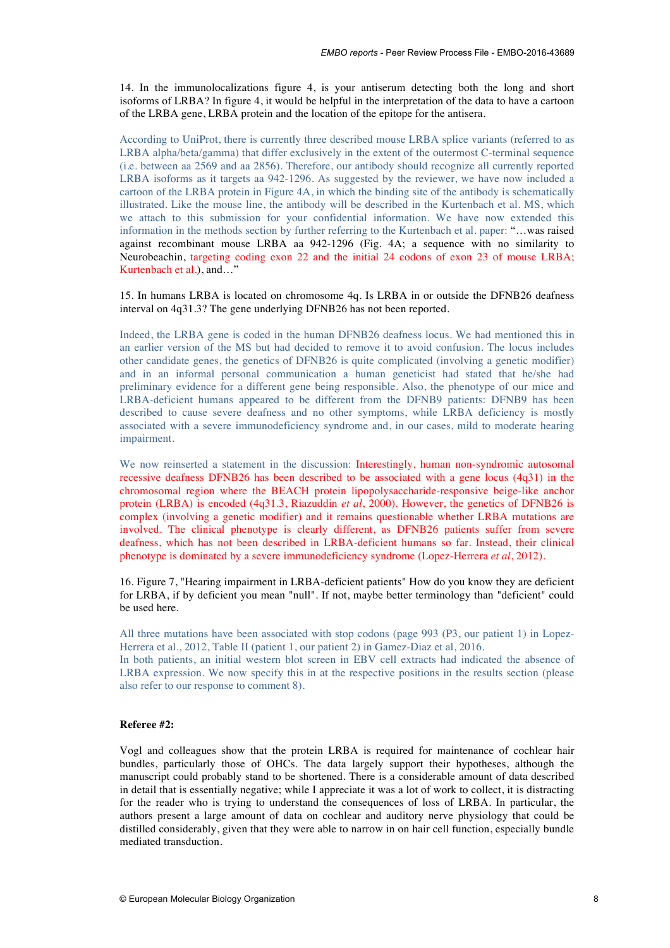14. In the immunolocalizations figure 4, is your antiserum detecting both the long and short isoforms of LRBA? In figure 4, it would be helpful in the interpretation of the data to have a cartoon of the LRBA gene, LRBA protein and the location of the epitope for the antisera.

According to UniProt, there is currently three described mouse LRBA splice variants (referred to as LRBA alpha/beta/gamma) that differ exclusively in the extent of the outermost C-terminal sequence (i.e. between aa 2569 and aa 2856). Therefore, our antibody should recognize all currently reported LRBA isoforms as it targets aa 942-1296. As suggested by the reviewer, we have now included a cartoon of the LRBA protein in Figure 4A, in which the binding site of the antibody is schematically illustrated. Like the mouse line, the antibody will be described in the Kurtenbach et al. MS, which we attach to this submission for your confidential information. We have now extended this information in the methods section by further referring to the Kurtenbach et al. paper: "…was raised against recombinant mouse LRBA aa 942-1296 (Fig. 4A; a sequence with no similarity to Neurobeachin, targeting coding exon 22 and the initial 24 codons of exon 23 of mouse LRBA; Kurtenbach et al.), and…"

15. In humans LRBA is located on chromosome 4q. Is LRBA in or outside the DFNB26 deafness interval on 4q31.3? The gene underlying DFNB26 has not been reported.

Indeed, the LRBA gene is coded in the human DFNB26 deafness locus. We had mentioned this in an earlier version of the MS but had decided to remove it to avoid confusion. The locus includes other candidate genes, the genetics of DFNB26 is quite complicated (involving a genetic modifier) and in an informal personal communication a human geneticist had stated that he/she had preliminary evidence for a different gene being responsible. Also, the phenotype of our mice and LRBA-deficient humans appeared to be different from the DFNB9 patients: DFNB9 has been described to cause severe deafness and no other symptoms, while LRBA deficiency is mostly associated with a severe immunodeficiency syndrome and, in our cases, mild to moderate hearing impairment.

We now reinserted a statement in the discussion: Interestingly, human non-syndromic autosomal recessive deafness DFNB26 has been described to be associated with a gene locus (4q31) in the chromosomal region where the BEACH protein lipopolysaccharide-responsive beige-like anchor protein (LRBA) is encoded (4q31.3, Riazuddin *et al*, 2000). However, the genetics of DFNB26 is complex (involving a genetic modifier) and it remains questionable whether LRBA mutations are involved. The clinical phenotype is clearly different, as DFNB26 patients suffer from severe deafness, which has not been described in LRBA-deficient humans so far. Instead, their clinical phenotype is dominated by a severe immunodeficiency syndrome (Lopez-Herrera *et al*, 2012).

16. Figure 7, "Hearing impairment in LRBA-deficient patients" How do you know they are deficient for LRBA, if by deficient you mean "null". If not, maybe better terminology than "deficient" could be used here.

All three mutations have been associated with stop codons (page 993 (P3, our patient 1) in Lopez-Herrera et al., 2012, Table II (patient 1, our patient 2) in Gamez-Diaz et al, 2016.

In both patients, an initial western blot screen in EBV cell extracts had indicated the absence of LRBA expression. We now specify this in at the respective positions in the results section (please also refer to our response to comment 8).

# **Referee #2:**

Vogl and colleagues show that the protein LRBA is required for maintenance of cochlear hair bundles, particularly those of OHCs. The data largely support their hypotheses, although the manuscript could probably stand to be shortened. There is a considerable amount of data described in detail that is essentially negative; while I appreciate it was a lot of work to collect, it is distracting for the reader who is trying to understand the consequences of loss of LRBA. In particular, the authors present a large amount of data on cochlear and auditory nerve physiology that could be distilled considerably, given that they were able to narrow in on hair cell function, especially bundle mediated transduction.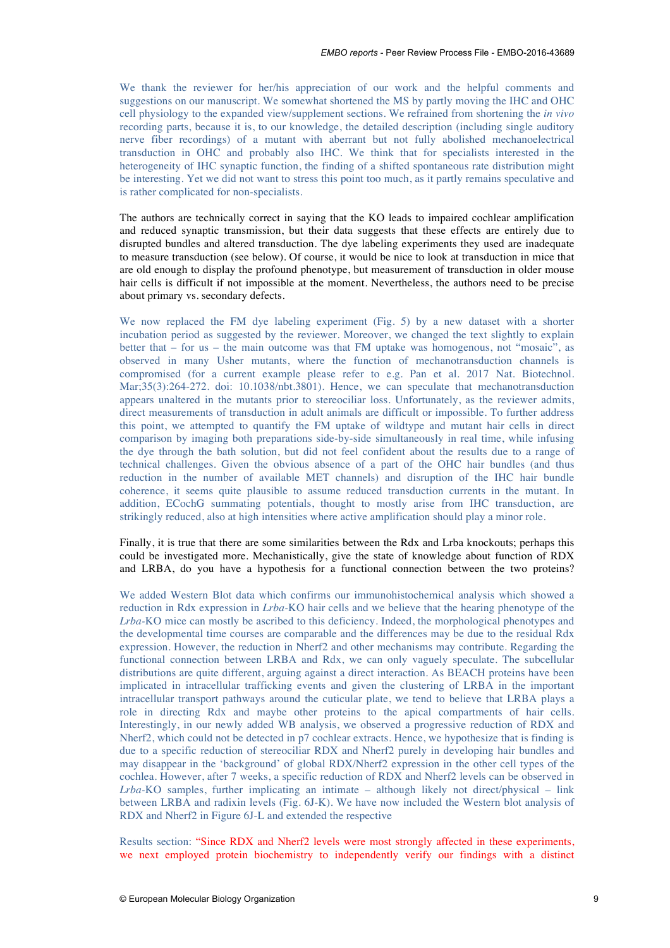We thank the reviewer for her/his appreciation of our work and the helpful comments and suggestions on our manuscript. We somewhat shortened the MS by partly moving the IHC and OHC cell physiology to the expanded view/supplement sections. We refrained from shortening the *in vivo* recording parts, because it is, to our knowledge, the detailed description (including single auditory nerve fiber recordings) of a mutant with aberrant but not fully abolished mechanoelectrical transduction in OHC and probably also IHC. We think that for specialists interested in the heterogeneity of IHC synaptic function, the finding of a shifted spontaneous rate distribution might be interesting. Yet we did not want to stress this point too much, as it partly remains speculative and is rather complicated for non-specialists.

The authors are technically correct in saying that the KO leads to impaired cochlear amplification and reduced synaptic transmission, but their data suggests that these effects are entirely due to disrupted bundles and altered transduction. The dye labeling experiments they used are inadequate to measure transduction (see below). Of course, it would be nice to look at transduction in mice that are old enough to display the profound phenotype, but measurement of transduction in older mouse hair cells is difficult if not impossible at the moment. Nevertheless, the authors need to be precise about primary vs. secondary defects.

We now replaced the FM dye labeling experiment (Fig. 5) by a new dataset with a shorter incubation period as suggested by the reviewer. Moreover, we changed the text slightly to explain better that – for us – the main outcome was that FM uptake was homogenous, not "mosaic", as observed in many Usher mutants, where the function of mechanotransduction channels is compromised (for a current example please refer to e.g. Pan et al. 2017 Nat. Biotechnol. Mar;35(3):264-272. doi: 10.1038/nbt.3801). Hence, we can speculate that mechanotransduction appears unaltered in the mutants prior to stereociliar loss. Unfortunately, as the reviewer admits, direct measurements of transduction in adult animals are difficult or impossible. To further address this point, we attempted to quantify the FM uptake of wildtype and mutant hair cells in direct comparison by imaging both preparations side-by-side simultaneously in real time, while infusing the dye through the bath solution, but did not feel confident about the results due to a range of technical challenges. Given the obvious absence of a part of the OHC hair bundles (and thus reduction in the number of available MET channels) and disruption of the IHC hair bundle coherence, it seems quite plausible to assume reduced transduction currents in the mutant. In addition, ECochG summating potentials, thought to mostly arise from IHC transduction, are strikingly reduced, also at high intensities where active amplification should play a minor role.

Finally, it is true that there are some similarities between the Rdx and Lrba knockouts; perhaps this could be investigated more. Mechanistically, give the state of knowledge about function of RDX and LRBA, do you have a hypothesis for a functional connection between the two proteins?

We added Western Blot data which confirms our immunohistochemical analysis which showed a reduction in Rdx expression in *Lrba-*KO hair cells and we believe that the hearing phenotype of the *Lrba-*KO mice can mostly be ascribed to this deficiency. Indeed, the morphological phenotypes and the developmental time courses are comparable and the differences may be due to the residual Rdx expression. However, the reduction in Nherf2 and other mechanisms may contribute. Regarding the functional connection between LRBA and Rdx, we can only vaguely speculate. The subcellular distributions are quite different, arguing against a direct interaction. As BEACH proteins have been implicated in intracellular trafficking events and given the clustering of LRBA in the important intracellular transport pathways around the cuticular plate, we tend to believe that LRBA plays a role in directing Rdx and maybe other proteins to the apical compartments of hair cells. Interestingly, in our newly added WB analysis, we observed a progressive reduction of RDX and Nherf2, which could not be detected in p7 cochlear extracts. Hence, we hypothesize that is finding is due to a specific reduction of stereociliar RDX and Nherf2 purely in developing hair bundles and may disappear in the 'background' of global RDX/Nherf2 expression in the other cell types of the cochlea. However, after 7 weeks, a specific reduction of RDX and Nherf2 levels can be observed in *Lrba-*KO samples, further implicating an intimate – although likely not direct/physical – link between LRBA and radixin levels (Fig. 6J-K). We have now included the Western blot analysis of RDX and Nherf2 in Figure 6J-L and extended the respective

Results section: "Since RDX and Nherf2 levels were most strongly affected in these experiments, we next employed protein biochemistry to independently verify our findings with a distinct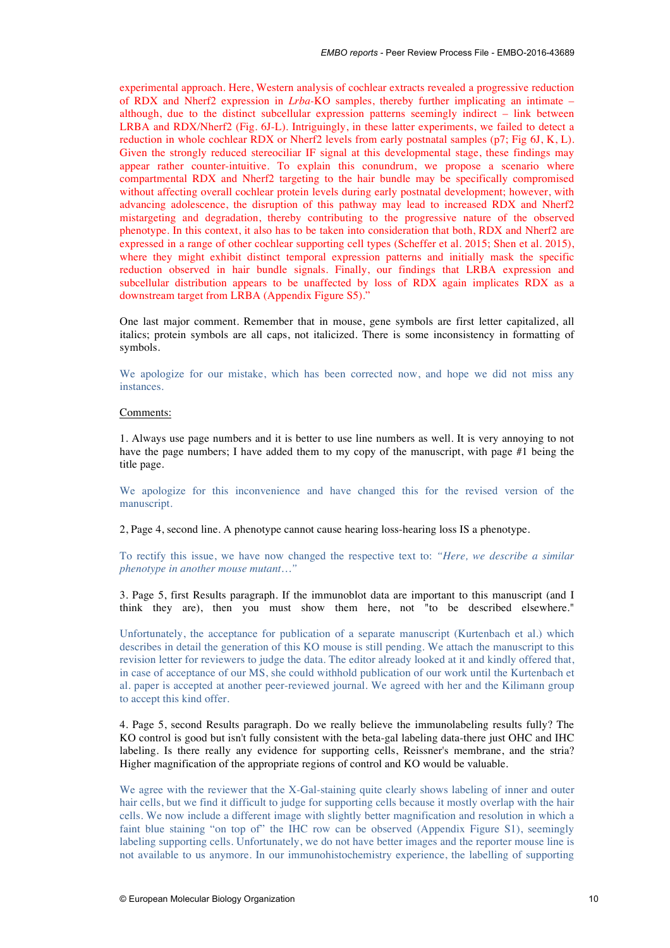experimental approach. Here, Western analysis of cochlear extracts revealed a progressive reduction of RDX and Nherf2 expression in *Lrba-*KO samples, thereby further implicating an intimate – although, due to the distinct subcellular expression patterns seemingly indirect – link between LRBA and RDX/Nherf2 (Fig. 6J-L). Intriguingly, in these latter experiments, we failed to detect a reduction in whole cochlear RDX or Nherf2 levels from early postnatal samples (p7; Fig 6J, K, L). Given the strongly reduced stereociliar IF signal at this developmental stage, these findings may appear rather counter-intuitive. To explain this conundrum, we propose a scenario where compartmental RDX and Nherf2 targeting to the hair bundle may be specifically compromised without affecting overall cochlear protein levels during early postnatal development; however, with advancing adolescence, the disruption of this pathway may lead to increased RDX and Nherf2 mistargeting and degradation, thereby contributing to the progressive nature of the observed phenotype. In this context, it also has to be taken into consideration that both, RDX and Nherf2 are expressed in a range of other cochlear supporting cell types (Scheffer et al. 2015; Shen et al. 2015), where they might exhibit distinct temporal expression patterns and initially mask the specific reduction observed in hair bundle signals. Finally, our findings that LRBA expression and subcellular distribution appears to be unaffected by loss of RDX again implicates RDX as a downstream target from LRBA (Appendix Figure S5)."

One last major comment. Remember that in mouse, gene symbols are first letter capitalized, all italics; protein symbols are all caps, not italicized. There is some inconsistency in formatting of symbols.

We apologize for our mistake, which has been corrected now, and hope we did not miss any instances.

# Comments:

1. Always use page numbers and it is better to use line numbers as well. It is very annoying to not have the page numbers; I have added them to my copy of the manuscript, with page #1 being the title page.

We apologize for this inconvenience and have changed this for the revised version of the manuscript.

2, Page 4, second line. A phenotype cannot cause hearing loss-hearing loss IS a phenotype.

To rectify this issue, we have now changed the respective text to: *"Here, we describe a similar phenotype in another mouse mutant…"*

3. Page 5, first Results paragraph. If the immunoblot data are important to this manuscript (and I think they are), then you must show them here, not "to be described elsewhere."

Unfortunately, the acceptance for publication of a separate manuscript (Kurtenbach et al.) which describes in detail the generation of this KO mouse is still pending. We attach the manuscript to this revision letter for reviewers to judge the data. The editor already looked at it and kindly offered that, in case of acceptance of our MS, she could withhold publication of our work until the Kurtenbach et al. paper is accepted at another peer-reviewed journal. We agreed with her and the Kilimann group to accept this kind offer.

4. Page 5, second Results paragraph. Do we really believe the immunolabeling results fully? The KO control is good but isn't fully consistent with the beta-gal labeling data-there just OHC and IHC labeling. Is there really any evidence for supporting cells, Reissner's membrane, and the stria? Higher magnification of the appropriate regions of control and KO would be valuable.

We agree with the reviewer that the X-Gal-staining quite clearly shows labeling of inner and outer hair cells, but we find it difficult to judge for supporting cells because it mostly overlap with the hair cells. We now include a different image with slightly better magnification and resolution in which a faint blue staining "on top of" the IHC row can be observed (Appendix Figure S1), seemingly labeling supporting cells. Unfortunately, we do not have better images and the reporter mouse line is not available to us anymore. In our immunohistochemistry experience, the labelling of supporting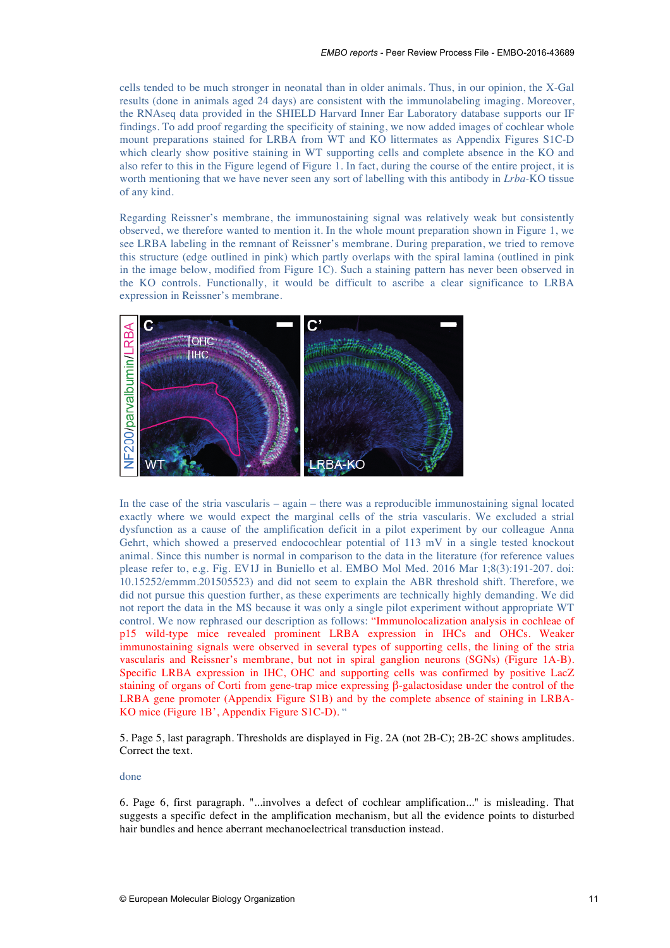cells tended to be much stronger in neonatal than in older animals. Thus, in our opinion, the X-Gal results (done in animals aged 24 days) are consistent with the immunolabeling imaging. Moreover, the RNAseq data provided in the SHIELD Harvard Inner Ear Laboratory database supports our IF findings. To add proof regarding the specificity of staining, we now added images of cochlear whole mount preparations stained for LRBA from WT and KO littermates as Appendix Figures S1C-D which clearly show positive staining in WT supporting cells and complete absence in the KO and also refer to this in the Figure legend of Figure 1. In fact, during the course of the entire project, it is worth mentioning that we have never seen any sort of labelling with this antibody in *Lrba-*KO tissue of any kind.

Regarding Reissner's membrane, the immunostaining signal was relatively weak but consistently observed, we therefore wanted to mention it. In the whole mount preparation shown in Figure 1, we see LRBA labeling in the remnant of Reissner's membrane. During preparation, we tried to remove this structure (edge outlined in pink) which partly overlaps with the spiral lamina (outlined in pink in the image below, modified from Figure 1C). Such a staining pattern has never been observed in the KO controls. Functionally, it would be difficult to ascribe a clear significance to LRBA expression in Reissner's membrane.



In the case of the stria vascularis – again – there was a reproducible immunostaining signal located exactly where we would expect the marginal cells of the stria vascularis. We excluded a strial dysfunction as a cause of the amplification deficit in a pilot experiment by our colleague Anna Gehrt, which showed a preserved endocochlear potential of 113 mV in a single tested knockout animal. Since this number is normal in comparison to the data in the literature (for reference values please refer to, e.g. Fig. EV1J in Buniello et al. EMBO Mol Med. 2016 Mar 1;8(3):191-207. doi: 10.15252/emmm.201505523) and did not seem to explain the ABR threshold shift. Therefore, we did not pursue this question further, as these experiments are technically highly demanding. We did not report the data in the MS because it was only a single pilot experiment without appropriate WT control. We now rephrased our description as follows: "Immunolocalization analysis in cochleae of p15 wild-type mice revealed prominent LRBA expression in IHCs and OHCs. Weaker immunostaining signals were observed in several types of supporting cells, the lining of the stria vascularis and Reissner's membrane, but not in spiral ganglion neurons (SGNs) (Figure 1A-B). Specific LRBA expression in IHC, OHC and supporting cells was confirmed by positive LacZ staining of organs of Corti from gene-trap mice expressing β-galactosidase under the control of the LRBA gene promoter (Appendix Figure S1B) and by the complete absence of staining in LRBA-KO mice (Figure 1B', Appendix Figure S1C-D). "

5. Page 5, last paragraph. Thresholds are displayed in Fig. 2A (not 2B-C); 2B-2C shows amplitudes. Correct the text.

# done

6. Page 6, first paragraph. "...involves a defect of cochlear amplification..." is misleading. That suggests a specific defect in the amplification mechanism, but all the evidence points to disturbed hair bundles and hence aberrant mechanoelectrical transduction instead.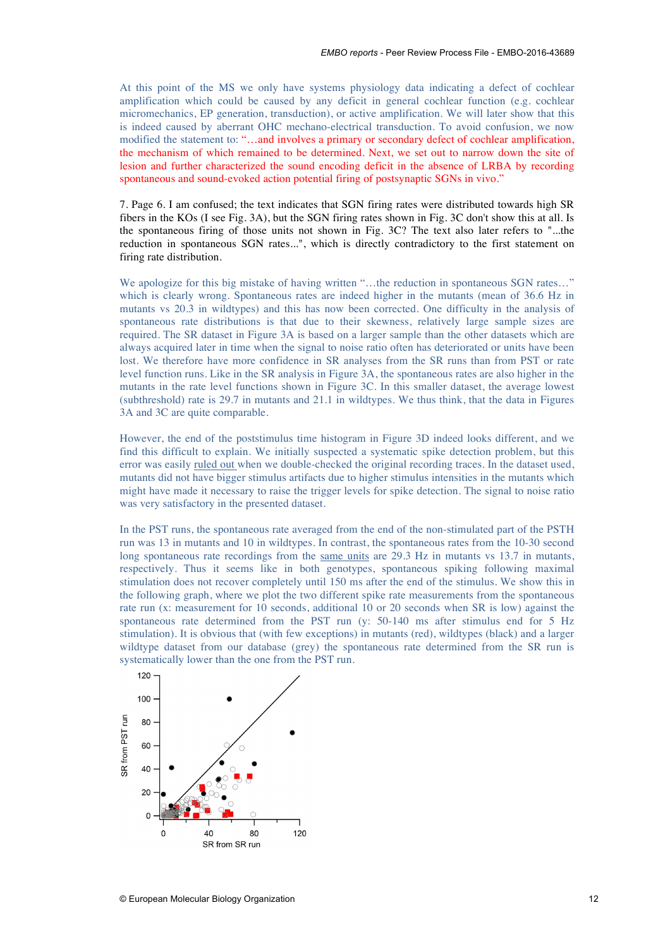At this point of the MS we only have systems physiology data indicating a defect of cochlear amplification which could be caused by any deficit in general cochlear function (e.g. cochlear micromechanics, EP generation, transduction), or active amplification. We will later show that this is indeed caused by aberrant OHC mechano-electrical transduction. To avoid confusion, we now modified the statement to: "…and involves a primary or secondary defect of cochlear amplification, the mechanism of which remained to be determined. Next, we set out to narrow down the site of lesion and further characterized the sound encoding deficit in the absence of LRBA by recording spontaneous and sound-evoked action potential firing of postsynaptic SGNs in vivo."

7. Page 6. I am confused; the text indicates that SGN firing rates were distributed towards high SR fibers in the KOs (I see Fig. 3A), but the SGN firing rates shown in Fig. 3C don't show this at all. Is the spontaneous firing of those units not shown in Fig. 3C? The text also later refers to "...the reduction in spontaneous SGN rates...", which is directly contradictory to the first statement on firing rate distribution.

We apologize for this big mistake of having written "...the reduction in spontaneous SGN rates..." which is clearly wrong. Spontaneous rates are indeed higher in the mutants (mean of 36.6 Hz in mutants vs 20.3 in wildtypes) and this has now been corrected. One difficulty in the analysis of spontaneous rate distributions is that due to their skewness, relatively large sample sizes are required. The SR dataset in Figure 3A is based on a larger sample than the other datasets which are always acquired later in time when the signal to noise ratio often has deteriorated or units have been lost. We therefore have more confidence in SR analyses from the SR runs than from PST or rate level function runs. Like in the SR analysis in Figure 3A, the spontaneous rates are also higher in the mutants in the rate level functions shown in Figure 3C. In this smaller dataset, the average lowest (subthreshold) rate is 29.7 in mutants and 21.1 in wildtypes. We thus think, that the data in Figures 3A and 3C are quite comparable.

However, the end of the poststimulus time histogram in Figure 3D indeed looks different, and we find this difficult to explain. We initially suspected a systematic spike detection problem, but this error was easily ruled out when we double-checked the original recording traces. In the dataset used, mutants did not have bigger stimulus artifacts due to higher stimulus intensities in the mutants which might have made it necessary to raise the trigger levels for spike detection. The signal to noise ratio was very satisfactory in the presented dataset.

In the PST runs, the spontaneous rate averaged from the end of the non-stimulated part of the PSTH run was 13 in mutants and 10 in wildtypes. In contrast, the spontaneous rates from the 10-30 second long spontaneous rate recordings from the same units are  $29.3$  Hz in mutants vs 13.7 in mutants, respectively. Thus it seems like in both genotypes, spontaneous spiking following maximal stimulation does not recover completely until 150 ms after the end of the stimulus. We show this in the following graph, where we plot the two different spike rate measurements from the spontaneous rate run (x: measurement for 10 seconds, additional 10 or 20 seconds when SR is low) against the spontaneous rate determined from the PST run (y: 50-140 ms after stimulus end for 5 Hz stimulation). It is obvious that (with few exceptions) in mutants (red), wildtypes (black) and a larger wildtype dataset from our database (grey) the spontaneous rate determined from the SR run is systematically lower than the one from the PST run.

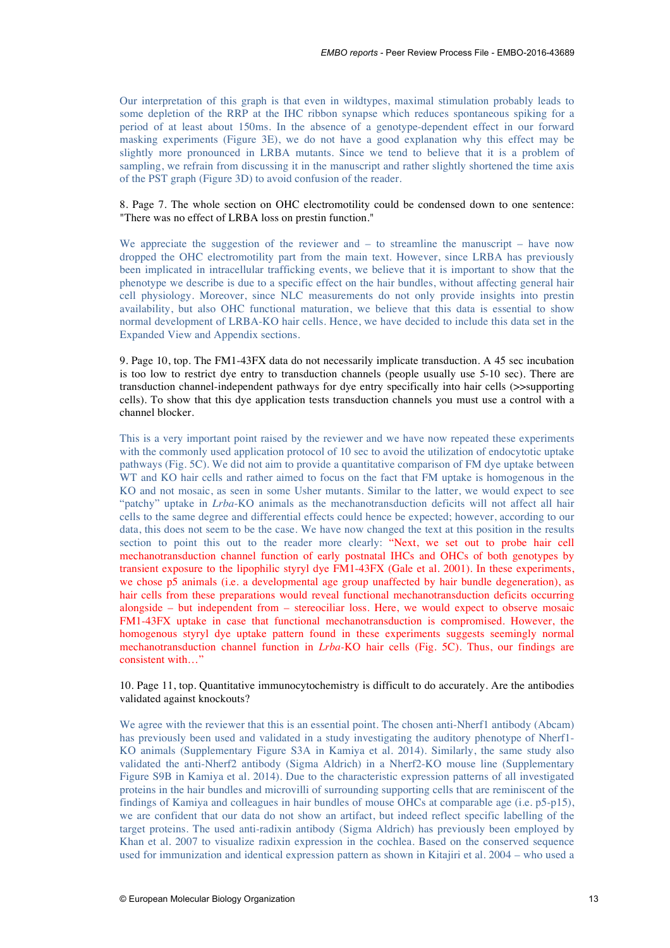Our interpretation of this graph is that even in wildtypes, maximal stimulation probably leads to some depletion of the RRP at the IHC ribbon synapse which reduces spontaneous spiking for a period of at least about 150ms. In the absence of a genotype-dependent effect in our forward masking experiments (Figure 3E), we do not have a good explanation why this effect may be slightly more pronounced in LRBA mutants. Since we tend to believe that it is a problem of sampling, we refrain from discussing it in the manuscript and rather slightly shortened the time axis of the PST graph (Figure 3D) to avoid confusion of the reader.

# 8. Page 7. The whole section on OHC electromotility could be condensed down to one sentence: "There was no effect of LRBA loss on prestin function."

We appreciate the suggestion of the reviewer and  $-$  to streamline the manuscript  $-$  have now dropped the OHC electromotility part from the main text. However, since LRBA has previously been implicated in intracellular trafficking events, we believe that it is important to show that the phenotype we describe is due to a specific effect on the hair bundles, without affecting general hair cell physiology. Moreover, since NLC measurements do not only provide insights into prestin availability, but also OHC functional maturation, we believe that this data is essential to show normal development of LRBA-KO hair cells. Hence, we have decided to include this data set in the Expanded View and Appendix sections.

9. Page 10, top. The FM1-43FX data do not necessarily implicate transduction. A 45 sec incubation is too low to restrict dye entry to transduction channels (people usually use 5-10 sec). There are transduction channel-independent pathways for dye entry specifically into hair cells (>>supporting cells). To show that this dye application tests transduction channels you must use a control with a channel blocker.

This is a very important point raised by the reviewer and we have now repeated these experiments with the commonly used application protocol of 10 sec to avoid the utilization of endocytotic uptake pathways (Fig. 5C). We did not aim to provide a quantitative comparison of FM dye uptake between WT and KO hair cells and rather aimed to focus on the fact that FM uptake is homogenous in the KO and not mosaic, as seen in some Usher mutants. Similar to the latter, we would expect to see "patchy" uptake in *Lrba*-KO animals as the mechanotransduction deficits will not affect all hair cells to the same degree and differential effects could hence be expected; however, according to our data, this does not seem to be the case. We have now changed the text at this position in the results section to point this out to the reader more clearly: "Next, we set out to probe hair cell mechanotransduction channel function of early postnatal IHCs and OHCs of both genotypes by transient exposure to the lipophilic styryl dye FM1-43FX (Gale et al. 2001). In these experiments, we chose p5 animals (i.e. a developmental age group unaffected by hair bundle degeneration), as hair cells from these preparations would reveal functional mechanotransduction deficits occurring alongside – but independent from – stereociliar loss. Here, we would expect to observe mosaic FM1-43FX uptake in case that functional mechanotransduction is compromised. However, the homogenous styryl dye uptake pattern found in these experiments suggests seemingly normal mechanotransduction channel function in *Lrba-*KO hair cells (Fig. 5C). Thus, our findings are consistent with…"

# 10. Page 11, top. Quantitative immunocytochemistry is difficult to do accurately. Are the antibodies validated against knockouts?

We agree with the reviewer that this is an essential point. The chosen anti-Nherf1 antibody (Abcam) has previously been used and validated in a study investigating the auditory phenotype of Nherf1- KO animals (Supplementary Figure S3A in Kamiya et al. 2014). Similarly, the same study also validated the anti-Nherf2 antibody (Sigma Aldrich) in a Nherf2-KO mouse line (Supplementary Figure S9B in Kamiya et al. 2014). Due to the characteristic expression patterns of all investigated proteins in the hair bundles and microvilli of surrounding supporting cells that are reminiscent of the findings of Kamiya and colleagues in hair bundles of mouse OHCs at comparable age (i.e. p5-p15), we are confident that our data do not show an artifact, but indeed reflect specific labelling of the target proteins. The used anti-radixin antibody (Sigma Aldrich) has previously been employed by Khan et al. 2007 to visualize radixin expression in the cochlea. Based on the conserved sequence used for immunization and identical expression pattern as shown in Kitajiri et al. 2004 – who used a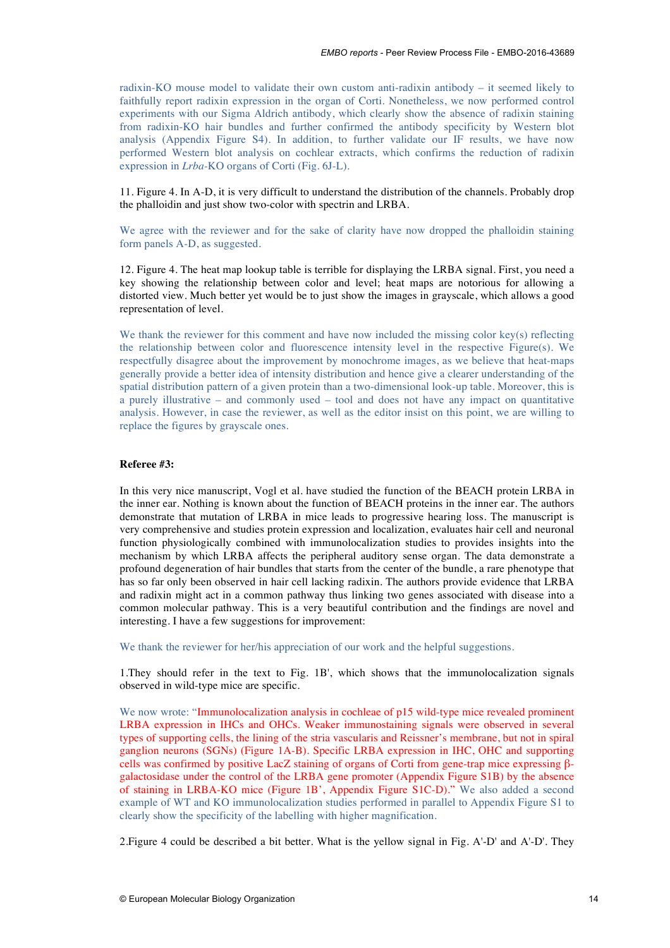radixin-KO mouse model to validate their own custom anti-radixin antibody – it seemed likely to faithfully report radixin expression in the organ of Corti. Nonetheless, we now performed control experiments with our Sigma Aldrich antibody, which clearly show the absence of radixin staining from radixin-KO hair bundles and further confirmed the antibody specificity by Western blot analysis (Appendix Figure S4). In addition, to further validate our IF results, we have now performed Western blot analysis on cochlear extracts, which confirms the reduction of radixin expression in *Lrba-*KO organs of Corti (Fig. 6J-L).

11. Figure 4. In A-D, it is very difficult to understand the distribution of the channels. Probably drop the phalloidin and just show two-color with spectrin and LRBA.

We agree with the reviewer and for the sake of clarity have now dropped the phalloidin staining form panels A-D, as suggested.

12. Figure 4. The heat map lookup table is terrible for displaying the LRBA signal. First, you need a key showing the relationship between color and level; heat maps are notorious for allowing a distorted view. Much better yet would be to just show the images in grayscale, which allows a good representation of level.

We thank the reviewer for this comment and have now included the missing color key(s) reflecting the relationship between color and fluorescence intensity level in the respective Figure(s). We respectfully disagree about the improvement by monochrome images, as we believe that heat-maps generally provide a better idea of intensity distribution and hence give a clearer understanding of the spatial distribution pattern of a given protein than a two-dimensional look-up table. Moreover, this is a purely illustrative – and commonly used – tool and does not have any impact on quantitative analysis. However, in case the reviewer, as well as the editor insist on this point, we are willing to replace the figures by grayscale ones.

# **Referee #3:**

In this very nice manuscript, Vogl et al. have studied the function of the BEACH protein LRBA in the inner ear. Nothing is known about the function of BEACH proteins in the inner ear. The authors demonstrate that mutation of LRBA in mice leads to progressive hearing loss. The manuscript is very comprehensive and studies protein expression and localization, evaluates hair cell and neuronal function physiologically combined with immunolocalization studies to provides insights into the mechanism by which LRBA affects the peripheral auditory sense organ. The data demonstrate a profound degeneration of hair bundles that starts from the center of the bundle, a rare phenotype that has so far only been observed in hair cell lacking radixin. The authors provide evidence that LRBA and radixin might act in a common pathway thus linking two genes associated with disease into a common molecular pathway. This is a very beautiful contribution and the findings are novel and interesting. I have a few suggestions for improvement:

We thank the reviewer for her/his appreciation of our work and the helpful suggestions.

1.They should refer in the text to Fig. 1B', which shows that the immunolocalization signals observed in wild-type mice are specific.

We now wrote: "Immunolocalization analysis in cochleae of p15 wild-type mice revealed prominent LRBA expression in IHCs and OHCs. Weaker immunostaining signals were observed in several types of supporting cells, the lining of the stria vascularis and Reissner's membrane, but not in spiral ganglion neurons (SGNs) (Figure 1A-B). Specific LRBA expression in IHC, OHC and supporting cells was confirmed by positive LacZ staining of organs of Corti from gene-trap mice expressing βgalactosidase under the control of the LRBA gene promoter (Appendix Figure S1B) by the absence of staining in LRBA-KO mice (Figure 1B', Appendix Figure S1C-D)." We also added a second example of WT and KO immunolocalization studies performed in parallel to Appendix Figure S1 to clearly show the specificity of the labelling with higher magnification.

2.Figure 4 could be described a bit better. What is the yellow signal in Fig. A'-D' and A'-D'. They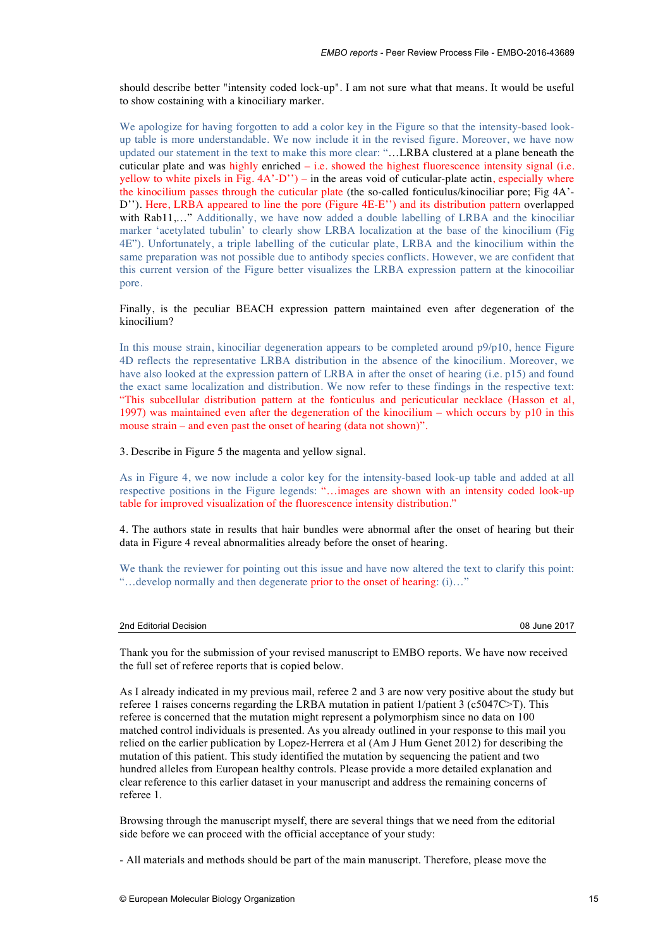should describe better "intensity coded lock-up". I am not sure what that means. It would be useful to show costaining with a kinociliary marker.

We apologize for having forgotten to add a color key in the Figure so that the intensity-based lookup table is more understandable. We now include it in the revised figure. Moreover, we have now updated our statement in the text to make this more clear: "…LRBA clustered at a plane beneath the cuticular plate and was highly enriched – i.e. showed the highest fluorescence intensity signal (i.e. yellow to white pixels in Fig. 4A'-D'') – in the areas void of cuticular-plate actin, especially where the kinocilium passes through the cuticular plate (the so-called fonticulus/kinociliar pore; Fig 4A'- D''). Here, LRBA appeared to line the pore (Figure 4E-E'') and its distribution pattern overlapped with Rab11,..." Additionally, we have now added a double labelling of LRBA and the kinociliar marker 'acetylated tubulin' to clearly show LRBA localization at the base of the kinocilium (Fig 4E"). Unfortunately, a triple labelling of the cuticular plate, LRBA and the kinocilium within the same preparation was not possible due to antibody species conflicts. However, we are confident that this current version of the Figure better visualizes the LRBA expression pattern at the kinocoiliar pore.

# Finally, is the peculiar BEACH expression pattern maintained even after degeneration of the kinocilium?

In this mouse strain, kinociliar degeneration appears to be completed around p9/p10, hence Figure 4D reflects the representative LRBA distribution in the absence of the kinocilium. Moreover, we have also looked at the expression pattern of LRBA in after the onset of hearing (i.e. p15) and found the exact same localization and distribution. We now refer to these findings in the respective text: "This subcellular distribution pattern at the fonticulus and pericuticular necklace (Hasson et al, 1997) was maintained even after the degeneration of the kinocilium – which occurs by p10 in this mouse strain – and even past the onset of hearing (data not shown)".

3. Describe in Figure 5 the magenta and yellow signal.

As in Figure 4, we now include a color key for the intensity-based look-up table and added at all respective positions in the Figure legends: "…images are shown with an intensity coded look-up table for improved visualization of the fluorescence intensity distribution."

4. The authors state in results that hair bundles were abnormal after the onset of hearing but their data in Figure 4 reveal abnormalities already before the onset of hearing.

We thank the reviewer for pointing out this issue and have now altered the text to clarify this point: "…develop normally and then degenerate prior to the onset of hearing: (i)…"

| 2nd Editorial Decision | 08 June 2017 |
|------------------------|--------------|
|------------------------|--------------|

Thank you for the submission of your revised manuscript to EMBO reports. We have now received the full set of referee reports that is copied below.

As I already indicated in my previous mail, referee 2 and 3 are now very positive about the study but referee 1 raises concerns regarding the LRBA mutation in patient 1/patient 3 (c5047C $\ge$ T). This referee is concerned that the mutation might represent a polymorphism since no data on 100 matched control individuals is presented. As you already outlined in your response to this mail you relied on the earlier publication by Lopez-Herrera et al (Am J Hum Genet 2012) for describing the mutation of this patient. This study identified the mutation by sequencing the patient and two hundred alleles from European healthy controls. Please provide a more detailed explanation and clear reference to this earlier dataset in your manuscript and address the remaining concerns of referee 1.

Browsing through the manuscript myself, there are several things that we need from the editorial side before we can proceed with the official acceptance of your study:

- All materials and methods should be part of the main manuscript. Therefore, please move the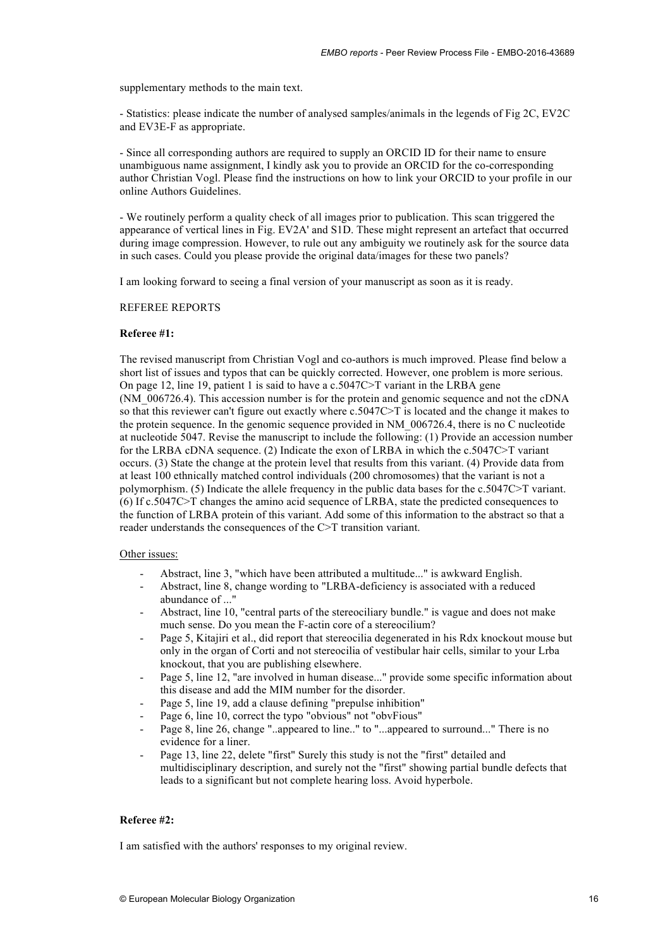supplementary methods to the main text.

- Statistics: please indicate the number of analysed samples/animals in the legends of Fig 2C, EV2C and EV3E-F as appropriate.

- Since all corresponding authors are required to supply an ORCID ID for their name to ensure unambiguous name assignment, I kindly ask you to provide an ORCID for the co-corresponding author Christian Vogl. Please find the instructions on how to link your ORCID to your profile in our online Authors Guidelines.

- We routinely perform a quality check of all images prior to publication. This scan triggered the appearance of vertical lines in Fig. EV2A' and S1D. These might represent an artefact that occurred during image compression. However, to rule out any ambiguity we routinely ask for the source data in such cases. Could you please provide the original data/images for these two panels?

I am looking forward to seeing a final version of your manuscript as soon as it is ready.

# REFEREE REPORTS

# **Referee #1:**

The revised manuscript from Christian Vogl and co-authors is much improved. Please find below a short list of issues and typos that can be quickly corrected. However, one problem is more serious. On page 12, line 19, patient 1 is said to have a  $c.5047C > T$  variant in the LRBA gene (NM\_006726.4). This accession number is for the protein and genomic sequence and not the cDNA so that this reviewer can't figure out exactly where c.5047C>T is located and the change it makes to the protein sequence. In the genomic sequence provided in NM\_006726.4, there is no C nucleotide at nucleotide 5047. Revise the manuscript to include the following: (1) Provide an accession number for the LRBA cDNA sequence. (2) Indicate the exon of LRBA in which the c.5047C>T variant occurs. (3) State the change at the protein level that results from this variant. (4) Provide data from at least 100 ethnically matched control individuals (200 chromosomes) that the variant is not a polymorphism. (5) Indicate the allele frequency in the public data bases for the c.5047C>T variant. (6) If c.5047C>T changes the amino acid sequence of LRBA, state the predicted consequences to the function of LRBA protein of this variant. Add some of this information to the abstract so that a reader understands the consequences of the C>T transition variant.

# Other issues:

- Abstract, line 3, "which have been attributed a multitude..." is awkward English.
- Abstract, line 8, change wording to "LRBA-deficiency is associated with a reduced abundance of ..."
- Abstract, line 10, "central parts of the stereociliary bundle." is vague and does not make much sense. Do you mean the F-actin core of a stereocilium?
- Page 5, Kitajiri et al., did report that stereocilia degenerated in his Rdx knockout mouse but only in the organ of Corti and not stereocilia of vestibular hair cells, similar to your Lrba knockout, that you are publishing elsewhere.
- Page 5, line 12, "are involved in human disease..." provide some specific information about this disease and add the MIM number for the disorder.
- Page 5, line 19, add a clause defining "prepulse inhibition"
- Page 6, line 10, correct the typo "obvious" not "obvFious"
- Page 8, line 26, change "..appeared to line.." to "...appeared to surround..." There is no evidence for a liner.
- Page 13, line 22, delete "first" Surely this study is not the "first" detailed and multidisciplinary description, and surely not the "first" showing partial bundle defects that leads to a significant but not complete hearing loss. Avoid hyperbole.

# **Referee #2:**

I am satisfied with the authors' responses to my original review.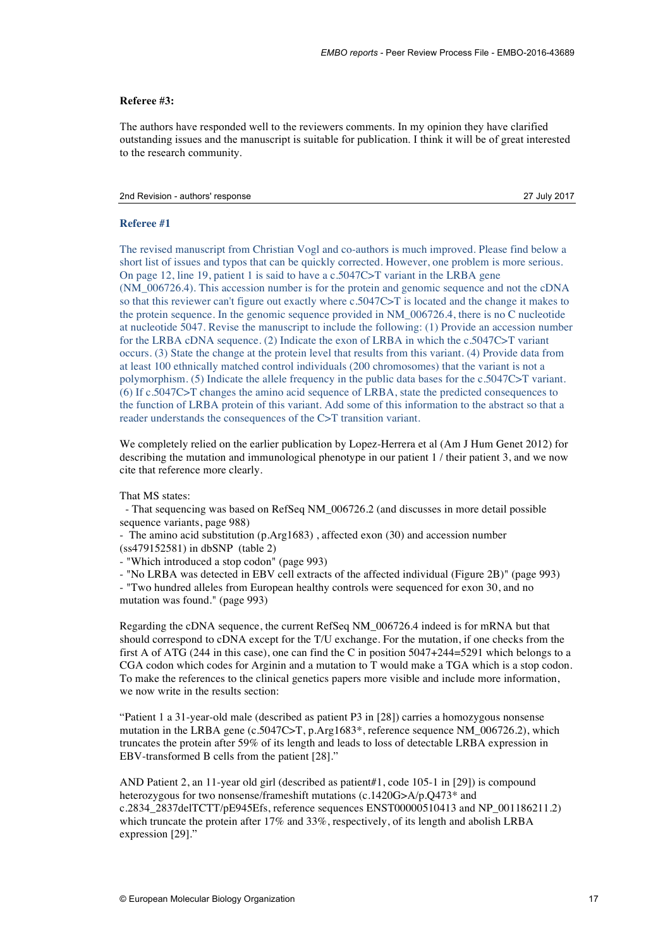# **Referee #3:**

The authors have responded well to the reviewers comments. In my opinion they have clarified outstanding issues and the manuscript is suitable for publication. I think it will be of great interested to the research community.

# 2nd Revision - authors' response 27 July 2017

# **Referee #1**

The revised manuscript from Christian Vogl and co-authors is much improved. Please find below a short list of issues and typos that can be quickly corrected. However, one problem is more serious. On page 12, line 19, patient 1 is said to have a c.5047C>T variant in the LRBA gene (NM\_006726.4). This accession number is for the protein and genomic sequence and not the cDNA so that this reviewer can't figure out exactly where c.5047C>T is located and the change it makes to the protein sequence. In the genomic sequence provided in NM\_006726.4, there is no C nucleotide at nucleotide 5047. Revise the manuscript to include the following: (1) Provide an accession number for the LRBA cDNA sequence. (2) Indicate the exon of LRBA in which the c.5047C>T variant occurs. (3) State the change at the protein level that results from this variant. (4) Provide data from at least 100 ethnically matched control individuals (200 chromosomes) that the variant is not a polymorphism. (5) Indicate the allele frequency in the public data bases for the c.5047C>T variant. (6) If c.5047C>T changes the amino acid sequence of LRBA, state the predicted consequences to the function of LRBA protein of this variant. Add some of this information to the abstract so that a reader understands the consequences of the C>T transition variant.

We completely relied on the earlier publication by Lopez-Herrera et al (Am J Hum Genet 2012) for describing the mutation and immunological phenotype in our patient 1 / their patient 3, and we now cite that reference more clearly.

That MS states:

- That sequencing was based on RefSeq NM\_006726.2 (and discusses in more detail possible sequence variants, page 988)

- The amino acid substitution (p.Arg1683) , affected exon (30) and accession number (ss479152581) in dbSNP (table 2)

- "Which introduced a stop codon" (page 993)

- "No LRBA was detected in EBV cell extracts of the affected individual (Figure 2B)" (page 993)

- "Two hundred alleles from European healthy controls were sequenced for exon 30, and no mutation was found." (page 993)

Regarding the cDNA sequence, the current RefSeq NM\_006726.4 indeed is for mRNA but that should correspond to cDNA except for the T/U exchange. For the mutation, if one checks from the first A of ATG (244 in this case), one can find the C in position 5047+244=5291 which belongs to a CGA codon which codes for Arginin and a mutation to T would make a TGA which is a stop codon. To make the references to the clinical genetics papers more visible and include more information, we now write in the results section:

"Patient 1 a 31-year-old male (described as patient P3 in [28]) carries a homozygous nonsense mutation in the LRBA gene (c.5047C>T, p.Arg1683\*, reference sequence NM 006726.2), which truncates the protein after 59% of its length and leads to loss of detectable LRBA expression in EBV-transformed B cells from the patient [28]."

AND Patient 2, an 11-year old girl (described as patient#1, code 105-1 in [29]) is compound heterozygous for two nonsense/frameshift mutations (c.1420G>A/p.Q473<sup>\*</sup> and c.2834\_2837delTCTT/pE945Efs, reference sequences ENST00000510413 and NP\_001186211.2) which truncate the protein after 17% and 33%, respectively, of its length and abolish LRBA expression [29]."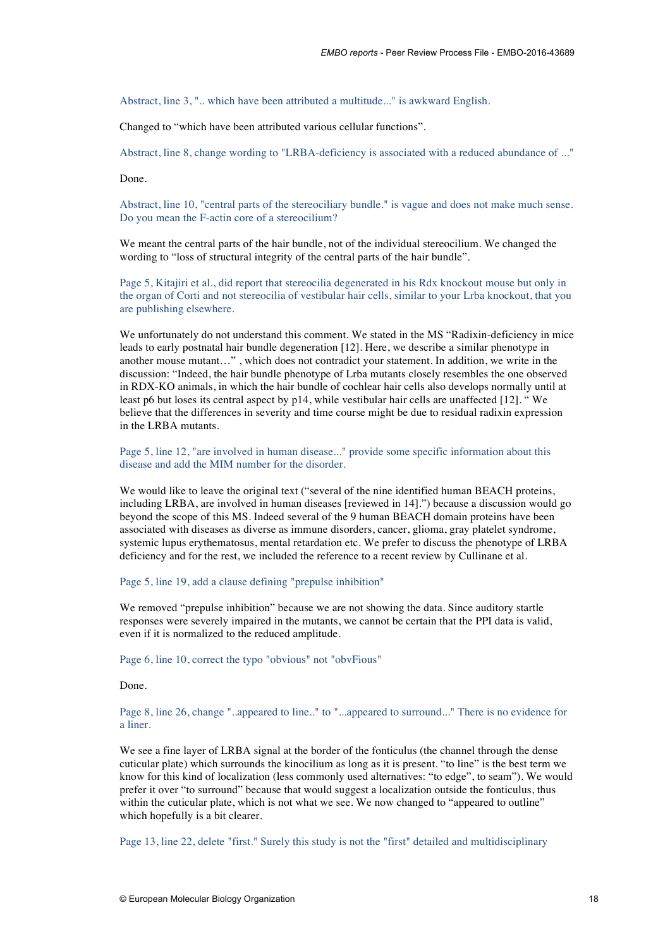Abstract, line 3, ".. which have been attributed a multitude..." is awkward English.

Changed to "which have been attributed various cellular functions".

Abstract, line 8, change wording to "LRBA-deficiency is associated with a reduced abundance of ..."

Done.

Abstract, line 10, "central parts of the stereociliary bundle." is vague and does not make much sense. Do you mean the F-actin core of a stereocilium?

We meant the central parts of the hair bundle, not of the individual stereocilium. We changed the wording to "loss of structural integrity of the central parts of the hair bundle".

Page 5, Kitajiri et al., did report that stereocilia degenerated in his Rdx knockout mouse but only in the organ of Corti and not stereocilia of vestibular hair cells, similar to your Lrba knockout, that you are publishing elsewhere.

We unfortunately do not understand this comment. We stated in the MS "Radixin-deficiency in mice leads to early postnatal hair bundle degeneration [12]. Here, we describe a similar phenotype in another mouse mutant…" , which does not contradict your statement. In addition, we write in the discussion: "Indeed, the hair bundle phenotype of Lrba mutants closely resembles the one observed in RDX-KO animals, in which the hair bundle of cochlear hair cells also develops normally until at least p6 but loses its central aspect by p14, while vestibular hair cells are unaffected [12]. " We believe that the differences in severity and time course might be due to residual radixin expression in the LRBA mutants.

Page 5, line 12, "are involved in human disease..." provide some specific information about this disease and add the MIM number for the disorder.

We would like to leave the original text ("several of the nine identified human BEACH proteins, including LRBA, are involved in human diseases [reviewed in 14].") because a discussion would go beyond the scope of this MS. Indeed several of the 9 human BEACH domain proteins have been associated with diseases as diverse as immune disorders, cancer, glioma, gray platelet syndrome, systemic lupus erythematosus, mental retardation etc. We prefer to discuss the phenotype of LRBA deficiency and for the rest, we included the reference to a recent review by Cullinane et al.

Page 5, line 19, add a clause defining "prepulse inhibition"

We removed "prepulse inhibition" because we are not showing the data. Since auditory startle responses were severely impaired in the mutants, we cannot be certain that the PPI data is valid, even if it is normalized to the reduced amplitude.

Page 6, line 10, correct the typo "obvious" not "obvFious"

Done.

Page 8, line 26, change "..appeared to line.." to "...appeared to surround..." There is no evidence for a liner.

We see a fine layer of LRBA signal at the border of the fonticulus (the channel through the dense cuticular plate) which surrounds the kinocilium as long as it is present. "to line" is the best term we know for this kind of localization (less commonly used alternatives: "to edge", to seam"). We would prefer it over "to surround" because that would suggest a localization outside the fonticulus, thus within the cuticular plate, which is not what we see. We now changed to "appeared to outline" which hopefully is a bit clearer.

Page 13, line 22, delete "first." Surely this study is not the "first" detailed and multidisciplinary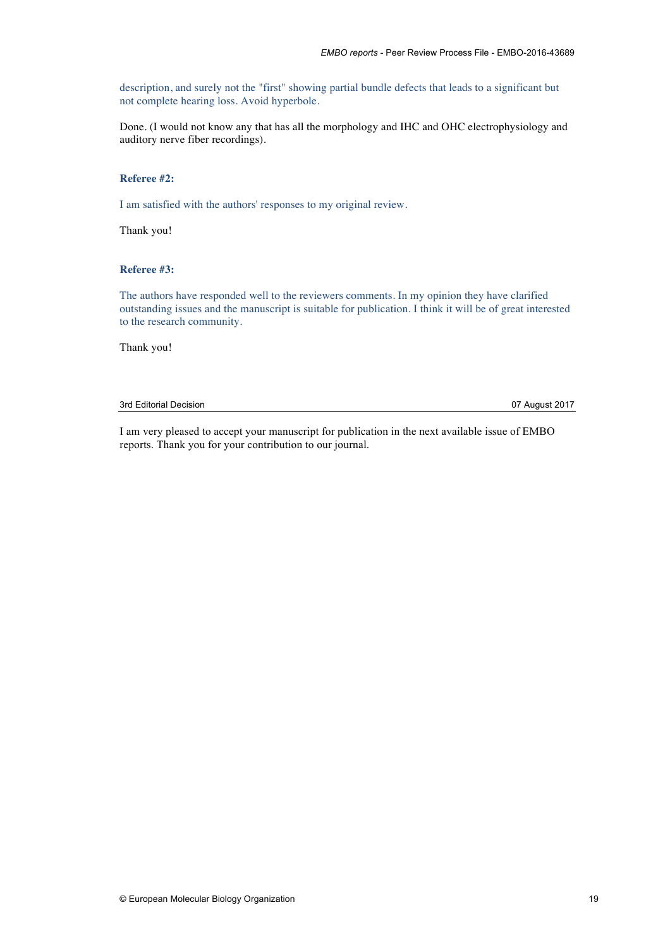description, and surely not the "first" showing partial bundle defects that leads to a significant but not complete hearing loss. Avoid hyperbole.

Done. (I would not know any that has all the morphology and IHC and OHC electrophysiology and auditory nerve fiber recordings).

# **Referee #2:**

I am satisfied with the authors' responses to my original review.

Thank you!

# **Referee #3:**

The authors have responded well to the reviewers comments. In my opinion they have clarified outstanding issues and the manuscript is suitable for publication. I think it will be of great interested to the research community.

Thank you!

# 3rd Editorial Decision 07 August 2017

I am very pleased to accept your manuscript for publication in the next available issue of EMBO reports. Thank you for your contribution to our journal.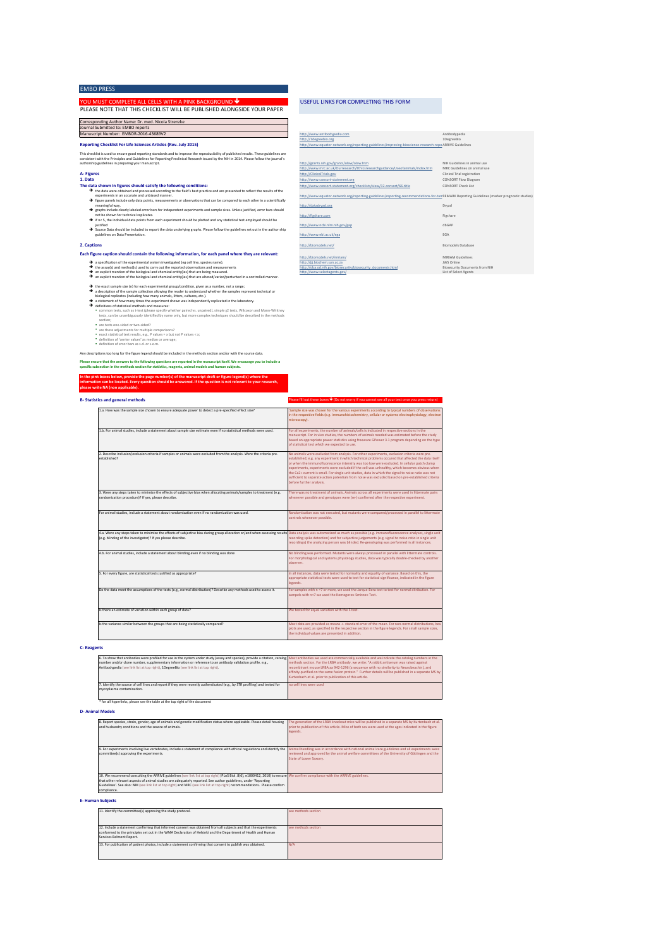# EMBO PRESS

## YOU MUST COMPLETE ALL CELLS WITH A PINK BACKGROUND  $\blacklozenge$ **PLEASE NOTE THAT THIS CHECKLIST WILL BE PUBLISHED ALONGSIDE VOLUR PAPER**

# USEFUL LINKS FOR COMPLETING THIS FORM

## Manuscript Number: EMBOR-2016-43689V2 Corresponding Author Name: Dr. med. Nicola Strenzke<br>Journal Submitted to: EMBO reports

## **Reporting Checklist For Life Sciences Articles (Rev. July 2015)**

### **1. Data A-** Figures

- The data shown in figures should satisfy the following conditions:
	- è
	- è
	- è the data were obtained and processed according to the field's best practice and are presented to reflect the results of the experiments in an accurate and unblased manner.<br>Egure panels include only data points, measurement
	- è
	- → Source Data should be included to report the data underlying graphs. Please follow the guidelines set out in the author ship guidelines on Data Presentation.

# **2. Captions**

## Each figure caption should contain the following information, for each panel where they are relevant:

- 
- a specification of the experimental system investigated (eg cell line, species name).<br>the assay(s) and method(s) used to carry out the reported observations and measurements<br>an explicit mention of the biological and chemic
- 

## è è the exact sample size (n) for each experimental group/condition, given as a number, not a range;<br>a description of the sample collection allowing the reader to understand whether the samples represent technical or<br>biologica

- 
- $\rightarrow$  a statement of how many times the experiment  $\rightarrow$  definitions of statistical methods and measures:
- common tests, such as t-test (please specify whether paired vs. unpaired), simple χ2 tests, Wilcoxon and Mann-Whitney<br>tests, can be unambiguously identified by name only, but more complex techniques should be described in
- 

section;<br>\* are tests one-sided or two-sided?<br>\* are there adjustments for multiple comparisons?<br>\* exact statistical test results, e.g., P values < x but not P values < x;<br>\* edimition of 'center values' as median or average;

# ns too long for the figure legend should be included in the methods section

## Please ensure that the answers to the following questions are reported in the manuscript itself. We encourage you to include a<br>specific subsection in the methods section for statistics, reagents, animal models and human su

In the pink boxes below, provide the page number(s) of the manuscript draft or figure legend(s) where the<br>information can be located. Every question should be answered. If the question is not relevant to your research,<br>ple

| esponding Author Name: Dr. med. Nicola Strenzke                                                                                                                                                                                                                                                                          |                                                                                                                                               |                                |
|--------------------------------------------------------------------------------------------------------------------------------------------------------------------------------------------------------------------------------------------------------------------------------------------------------------------------|-----------------------------------------------------------------------------------------------------------------------------------------------|--------------------------------|
| hal Submitted to: EMBO reports                                                                                                                                                                                                                                                                                           |                                                                                                                                               |                                |
| uscript Number: EMBOR-2016-43689V2                                                                                                                                                                                                                                                                                       | http://www.antibodypedia.com                                                                                                                  | Antibodypedia                  |
|                                                                                                                                                                                                                                                                                                                          | http://1degreebio.org                                                                                                                         | 1DegreeBio                     |
| orting Checklist For Life Sciences Articles (Rev. July 2015)                                                                                                                                                                                                                                                             | http://www.equator-network.org/reporting-guidelines/improving-bioscience-research-repo ARRIVE Guidelines                                      |                                |
| hecklist is used to ensure good reporting standards and to improve the reproducibility of published results. These guidelines are<br>tent with the Principles and Guidelines for Reporting Preclinical Research issued by the NIH in 2014. Please follow the journal's<br>rship guidelines in preparing your manuscript. | http://grants.nih.gov/grants/olaw/olaw.htm                                                                                                    | NIH Guidelines in animal use   |
|                                                                                                                                                                                                                                                                                                                          | http://www.mrc.ac.uk/Ourresearch/Ethicsresearchguidance/Useofanimals/index.htm                                                                | MRC Guidelines on animal use   |
| eures                                                                                                                                                                                                                                                                                                                    | http://ClinicalTrials.gov                                                                                                                     | Clinical Trial registration    |
| ıta.                                                                                                                                                                                                                                                                                                                     | http://www.consort-statement.org                                                                                                              | <b>CONSORT Flow Diagram</b>    |
| data shown in figures should satisfy the following conditions:                                                                                                                                                                                                                                                           | http://www.consort-statement.org/checklists/view/32-consort/66-title                                                                          | <b>CONSORT Check List</b>      |
| > the data were obtained and processed according to the field's best practice and are presented to reflect the results of the<br>experiments in an accurate and unbiased manner.                                                                                                                                         | http://www.equator-network.org/reporting-guidelines/reporting-recommendations-for-tun REMARK Reporting Guidelines (marker prognostic studies) |                                |
| → figure panels include only data points, measurements or observations that can be compared to each other in a scientifically<br>meaningful way.<br>Traphs include clearly labeled error bars for independent experiments and sample sizes. Unless justified, error bars should                                          | http://datadrvad.org                                                                                                                          | Drvad                          |
| not be shown for technical replicates.                                                                                                                                                                                                                                                                                   | http://figshare.com                                                                                                                           | Figshare                       |
| → if n< 5, the individual data points from each experiment should be plotted and any statistical test employed should be<br>iustified                                                                                                                                                                                    | http://www.ncbi.nlm.nih.gov/gap                                                                                                               | dbGAP                          |
| Source Data should be included to report the data underlying graphs. Please follow the guidelines set out in the author ship<br>guidelines on Data Presentation.                                                                                                                                                         | http://www.ebi.ac.uk/ega                                                                                                                      | <b>FGA</b>                     |
| ptions                                                                                                                                                                                                                                                                                                                   | http://biomodels.net/                                                                                                                         | <b>Biomodels Database</b>      |
| figure caption should contain the following information, for each panel where they are relevant:                                                                                                                                                                                                                         | http://biomodels.net/miriam/                                                                                                                  | MIRIAM Guidelines              |
| > a specification of the experimental system investigated (eg cell line, species name).                                                                                                                                                                                                                                  | http://iii.biochem.sun.ac.za                                                                                                                  | <b>IWS Online</b>              |
| $\rightarrow$ the assay(s) and method(s) used to carry out the reported observations and measurements                                                                                                                                                                                                                    | http://oba.od.nih.gov/biosecurity/biosecurity_documents.html                                                                                  | Biosecurity Documents from NIH |
| an explicit mention of the biological and chemical entity(ies) that are being measured.                                                                                                                                                                                                                                  | http://www.selectagents.gov/                                                                                                                  | List of Select Agents          |
| > an explicit mention of the biological and chemical entitylies) that are altered/varied/perturbed in a controlled manner.                                                                                                                                                                                               |                                                                                                                                               |                                |

1.a. How was the sample size chosen to ensure adequate power to detect a pre-specified effect size? . For animal studies, include a statement about sample size estimate even if no statistical methods were used 2. Describe inclusion/exclusion criteria if samples or animals were excluded from the analysis. Were the criteria preestablished? 3. Were any steps taken to minimize the effects of subjective bias when allocating animals/samples to treatment (e.g.<br>randomization procedure)? If yes, please describe. r animal studies, include a statement about randomization even if no randomization was used 4.a. Were any steps taken to minimize the effects of subjective bias during group allocation or/and when assessing results in formation of the investigator)? If yes please de 4.b. For animal studies, include a statement about blinding even if no blinding was done 5. For every figure, are statistical tests justified as appropriate? Do the data meet the assumptions of the tests (e.g., normal distribution)? Describe any methods used to assess it. nere an estimate of variation within each group of data Is the variance similar between the groups that are being statistically compared? In all instances, data were tested for normality and equality of variance. Based on this, the<br>appropriate statistical tests were used to test for statistical significance, indicated in the figure legends. For samples with n =7 or more, we used the Jarque-Bera test to test for normal ditribution. For<br>sampels with n<7 we used the Komogorov-Smirnov-Test. We tested for equal variation with the F-test. Most data are provided as means +- standard error of the mean. For non-normal distributions, box<br>plots are used, as specified in the respective section in the figure legends. For small sample sizes,<br>the individual values a Sample size was chosen for the various experiments according to typical numbers of observations<br>in the respective fields (e.g. immunohistochemistry, cellular or systems electrophysiology, electron microscopy). For all experiments, the number of animals/cells is indicated in respective sections in the<br>manuscript. For in vivo studies, the numbers of animals needed was estimated before the study based on appropriate power statistics using freeware GPower 3.1 program depending on the type of statistical test which we expected to use. No animals were excluded from analysis. For other experiments, exclusion criteria were preestablished; e.g. any experiment in which technical problems occured that affected the data itself<br>or when the immunofluorescence intensity was too low were excluded. In cellular patch clamp experiments, experiments were excluded if the cell was unhealthy, which becomes obvious when the Ca2+ current is small. For single unit studies, data in which the signal to noise ratio was not sufficient to separate action potentials from noise was excluded based on pre-established criteria before further analysis. There was no treatment of animals. Animals across all experiments were used in littermate pairs<br>whenever possible and genotypes were (re-) confirmed after the respective experiment. Randomization was not executed, but mutants were compared/processed in parallel to littermate controls whenever possible. Data analysis was automatized as much as possible (e.g. immunofluorescence analyses, single unit<br>recording spike detection) and for subjective judgements (e.g. signal to noise ratio in single unit<br>recordings) the analyzing No blinding was performed. Mutants were always processed in parallel with littermate controls. For morphological and systems physiology studies, data was typically double-checked by another observer. Please fill out these boxes  $\blacklozenge$  (Do not worry if you cannot see all your text once you press return) **B-** Statistics and general methods

# **C- Reagents**

### 6. To show that antibodies were profiled for use in the system under study (assay and species), provide a citation, catalog<br>number and/or clone number, supplementary information or reference to an antibody validation profi  $\bar{\mathbf{s}}$  and report if they were recently authenticated (e.g., by STR profiling) and  $\bar{\mathbf{t}}$ mycoplasma contamination. ble at the top right of th Most antibodies we used are commercially available and we indicate the catalog numbers in the<br>methods section. For the LRBA antibody, we write: "A rabbit antiserum was raised against<br>recombinant mouse LRBA aa 942-1296 (a s affinity-purified on the same fusion protein." Further details will be published in a separate MS by Kurtenbach et al. prior to publication of this article. no cell lines were used

## **D- Animal Models**

| 8. Report species, strain, gender, age of animals and genetic modification status where applicable. Please detail housing<br>and husbandry conditions and the source of animals. | The generation of the LRBA knockout mice will be published in a separate MS by Kurtenbach et al.<br>prior to publication of this article. Mice of both sex were used at the ages indicated in the figure<br>legends. |
|----------------------------------------------------------------------------------------------------------------------------------------------------------------------------------|----------------------------------------------------------------------------------------------------------------------------------------------------------------------------------------------------------------------|
| 9. For experiments involving live vertebrates, include a statement of compliance with ethical regulations and identify the                                                       | Animal handling was in accordance with national animal care guidelines and all experiments were                                                                                                                      |
| committee(s) approving the experiments.                                                                                                                                          | reviewed and approved by the animal welfare committees of the University of Göttingen and the                                                                                                                        |
|                                                                                                                                                                                  | State of Lower Saxony.                                                                                                                                                                                               |
| 10. We recommend consulting the ARRIVE guidelines (see link list at top right) (PLoS Biol. 8(6), e1000412, 2010) to ensure We confirm compliance with the ARRIVE guidelines.     |                                                                                                                                                                                                                      |
| that other relevant aspects of animal studies are adequately reported. See author guidelines, under 'Reporting                                                                   |                                                                                                                                                                                                                      |
| Guidelines', See also: NIH (see link list at too right) and MRC (see link list at too right) recommendations. Please confirm                                                     |                                                                                                                                                                                                                      |
| compliance.                                                                                                                                                                      |                                                                                                                                                                                                                      |

## **E- Human Subjects**

| 11. Identify the committee(s) approving the study protocol.                                                      | see methods section |
|------------------------------------------------------------------------------------------------------------------|---------------------|
|                                                                                                                  |                     |
|                                                                                                                  |                     |
| 12. Include a statement confirming that informed consent was obtained from all subjects and that the experiments | see methods section |
| conformed to the principles set out in the WMA Declaration of Helsinki and the Department of Health and Human    |                     |
| Services Belmont Report.                                                                                         |                     |
| 13. For publication of patient photos, include a statement confirming that consent to publish was obtained.      | N/A                 |
|                                                                                                                  |                     |
|                                                                                                                  |                     |